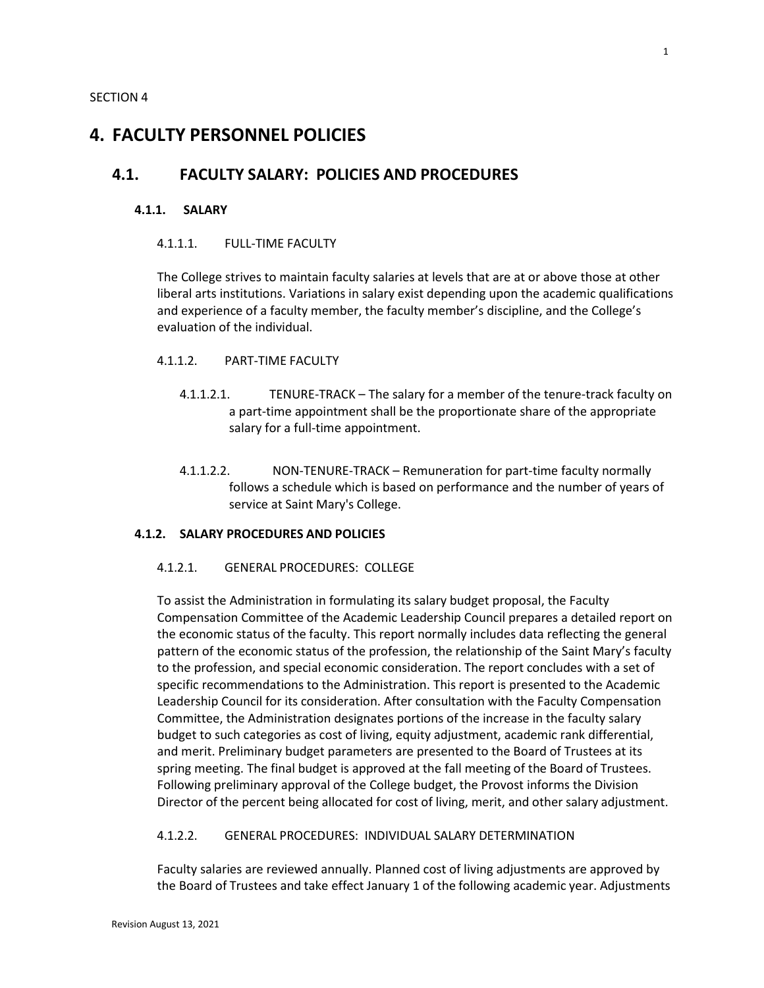# **4. FACULTY PERSONNEL POLICIES**

# **4.1. FACULTY SALARY: POLICIES AND PROCEDURES**

#### **4.1.1. SALARY**

#### 4.1.1.1. FULL-TIME FACULTY

The College strives to maintain faculty salaries at levels that are at or above those at other liberal arts institutions. Variations in salary exist depending upon the academic qualifications and experience of a faculty member, the faculty member's discipline, and the College's evaluation of the individual.

### 4.1.1.2. PART-TIME FACULTY

- 4.1.1.2.1. TENURE-TRACK The salary for a member of the tenure-track faculty on a part-time appointment shall be the proportionate share of the appropriate salary for a full-time appointment.
- 4.1.1.2.2. NON-TENURE-TRACK Remuneration for part-time faculty normally follows a schedule which is based on performance and the number of years of service at Saint Mary's College.

### **4.1.2. SALARY PROCEDURES AND POLICIES**

#### 4.1.2.1. GENERAL PROCEDURES: COLLEGE

To assist the Administration in formulating its salary budget proposal, the Faculty Compensation Committee of the Academic Leadership Council prepares a detailed report on the economic status of the faculty. This report normally includes data reflecting the general pattern of the economic status of the profession, the relationship of the Saint Mary's faculty to the profession, and special economic consideration. The report concludes with a set of specific recommendations to the Administration. This report is presented to the Academic Leadership Council for its consideration. After consultation with the Faculty Compensation Committee, the Administration designates portions of the increase in the faculty salary budget to such categories as cost of living, equity adjustment, academic rank differential, and merit. Preliminary budget parameters are presented to the Board of Trustees at its spring meeting. The final budget is approved at the fall meeting of the Board of Trustees. Following preliminary approval of the College budget, the Provost informs the Division Director of the percent being allocated for cost of living, merit, and other salary adjustment.

#### 4.1.2.2. GENERAL PROCEDURES: INDIVIDUAL SALARY DETERMINATION

Faculty salaries are reviewed annually. Planned cost of living adjustments are approved by the Board of Trustees and take effect January 1 of the following academic year. Adjustments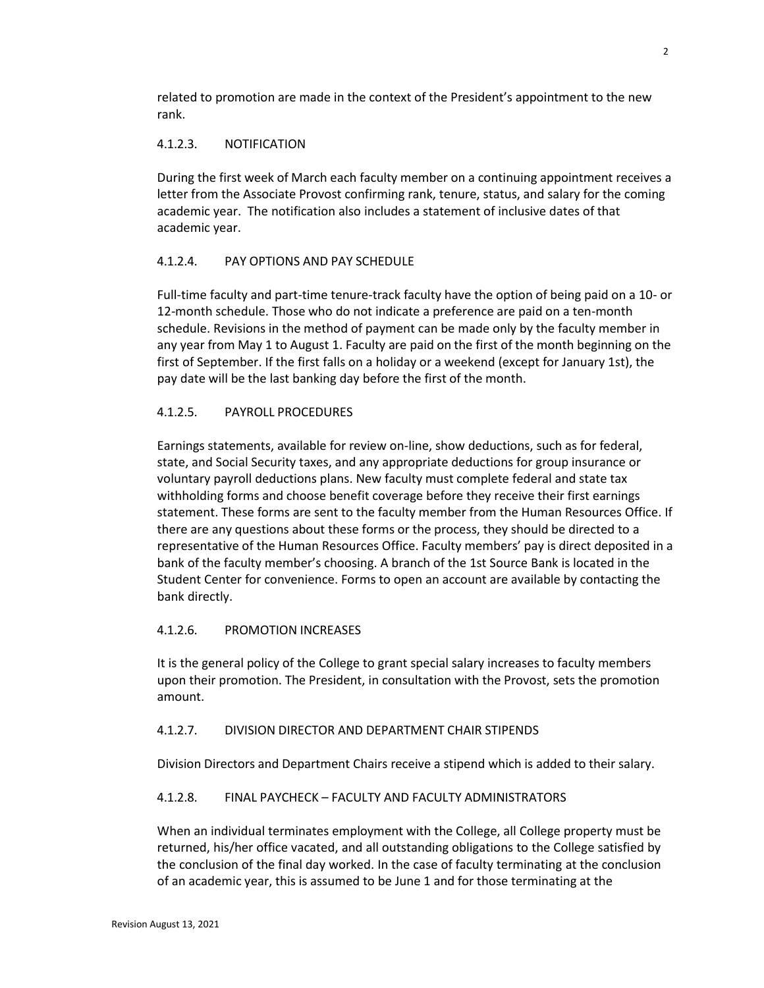related to promotion are made in the context of the President's appointment to the new rank.

# 4.1.2.3. NOTIFICATION

During the first week of March each faculty member on a continuing appointment receives a letter from the Associate Provost confirming rank, tenure, status, and salary for the coming academic year. The notification also includes a statement of inclusive dates of that academic year.

# 4.1.2.4. PAY OPTIONS AND PAY SCHEDULE

Full-time faculty and part-time tenure-track faculty have the option of being paid on a 10- or 12-month schedule. Those who do not indicate a preference are paid on a ten-month schedule. Revisions in the method of payment can be made only by the faculty member in any year from May 1 to August 1. Faculty are paid on the first of the month beginning on the first of September. If the first falls on a holiday or a weekend (except for January 1st), the pay date will be the last banking day before the first of the month.

# 4.1.2.5. PAYROLL PROCEDURES

Earnings statements, available for review on-line, show deductions, such as for federal, state, and Social Security taxes, and any appropriate deductions for group insurance or voluntary payroll deductions plans. New faculty must complete federal and state tax withholding forms and choose benefit coverage before they receive their first earnings statement. These forms are sent to the faculty member from the Human Resources Office. If there are any questions about these forms or the process, they should be directed to a representative of the Human Resources Office. Faculty members' pay is direct deposited in a bank of the faculty member's choosing. A branch of the 1st Source Bank is located in the Student Center for convenience. Forms to open an account are available by contacting the bank directly.

# 4.1.2.6. PROMOTION INCREASES

It is the general policy of the College to grant special salary increases to faculty members upon their promotion. The President, in consultation with the Provost, sets the promotion amount.

# 4.1.2.7. DIVISION DIRECTOR AND DEPARTMENT CHAIR STIPENDS

Division Directors and Department Chairs receive a stipend which is added to their salary.

# 4.1.2.8. FINAL PAYCHECK – FACULTY AND FACULTY ADMINISTRATORS

When an individual terminates employment with the College, all College property must be returned, his/her office vacated, and all outstanding obligations to the College satisfied by the conclusion of the final day worked. In the case of faculty terminating at the conclusion of an academic year, this is assumed to be June 1 and for those terminating at the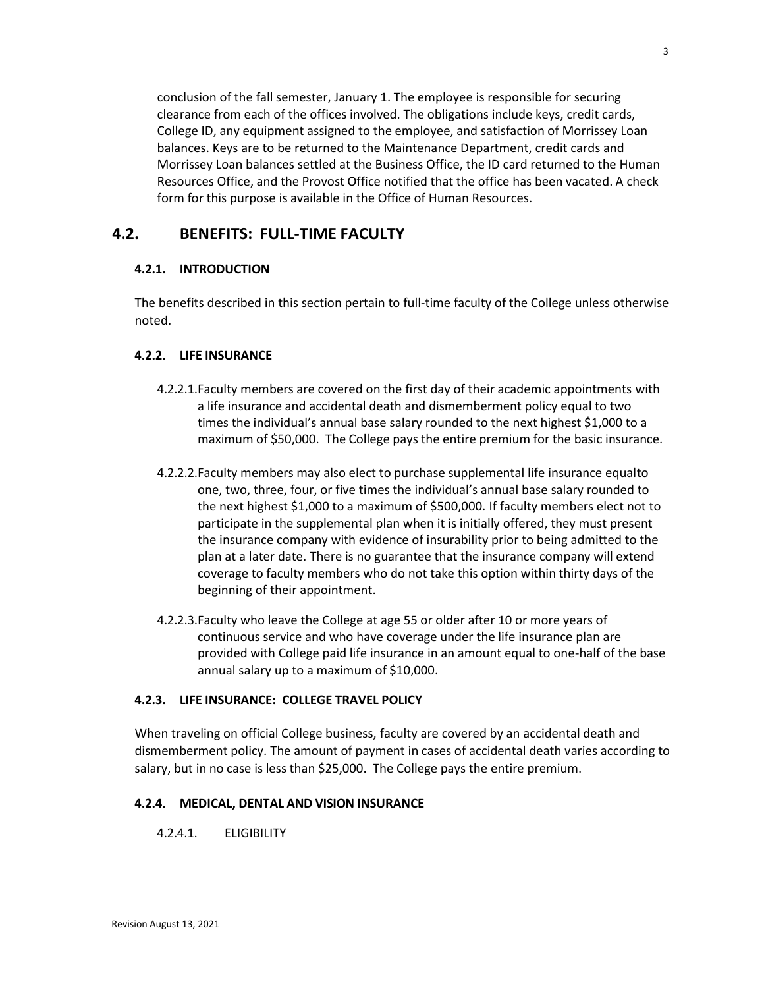conclusion of the fall semester, January 1. The employee is responsible for securing clearance from each of the offices involved. The obligations include keys, credit cards, College ID, any equipment assigned to the employee, and satisfaction of Morrissey Loan balances. Keys are to be returned to the Maintenance Department, credit cards and Morrissey Loan balances settled at the Business Office, the ID card returned to the Human Resources Office, and the Provost Office notified that the office has been vacated. A check form for this purpose is available in the Office of Human Resources.

# **4.2. BENEFITS: FULL-TIME FACULTY**

# **4.2.1. INTRODUCTION**

The benefits described in this section pertain to full-time faculty of the College unless otherwise noted.

# **4.2.2. LIFE INSURANCE**

- 4.2.2.1.Faculty members are covered on the first day of their academic appointments with a life insurance and accidental death and dismemberment policy equal to two times the individual's annual base salary rounded to the next highest \$1,000 to a maximum of \$50,000. The College pays the entire premium for the basic insurance.
- 4.2.2.2.Faculty members may also elect to purchase supplemental life insurance equalto one, two, three, four, or five times the individual's annual base salary rounded to the next highest \$1,000 to a maximum of \$500,000. If faculty members elect not to participate in the supplemental plan when it is initially offered, they must present the insurance company with evidence of insurability prior to being admitted to the plan at a later date. There is no guarantee that the insurance company will extend coverage to faculty members who do not take this option within thirty days of the beginning of their appointment.
- 4.2.2.3.Faculty who leave the College at age 55 or older after 10 or more years of continuous service and who have coverage under the life insurance plan are provided with College paid life insurance in an amount equal to one-half of the base annual salary up to a maximum of \$10,000.

# **4.2.3. LIFE INSURANCE: COLLEGE TRAVEL POLICY**

When traveling on official College business, faculty are covered by an accidental death and dismemberment policy. The amount of payment in cases of accidental death varies according to salary, but in no case is less than \$25,000. The College pays the entire premium.

# **4.2.4. MEDICAL, DENTAL AND VISION INSURANCE**

4.2.4.1. ELIGIBILITY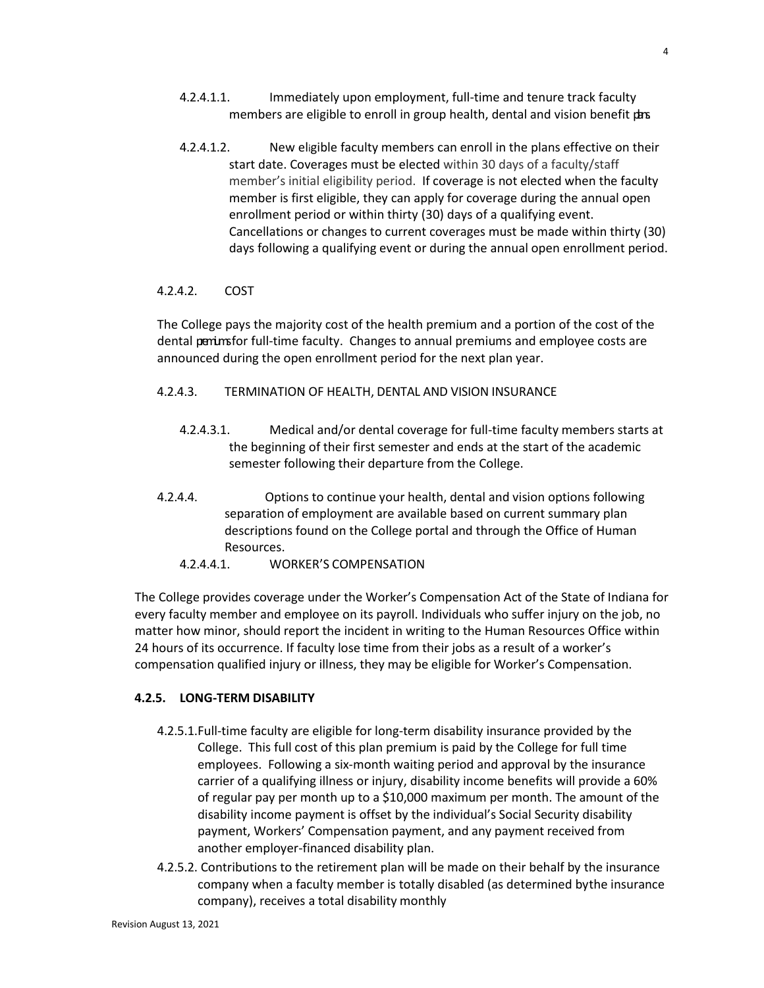- 4.2.4.1.1. Immediately upon employment, full-time and tenure track faculty members are eligible to enroll in group health, dental and vision benefit dars.
- 4.2.4.1.2. New eligible faculty members can enroll in the plans effective on their start date. Coverages must be elected within 30 days of a faculty/staff member's initial eligibility period. If coverage is not elected when the faculty member is first eligible, they can apply for coverage during the annual open enrollment period or within thirty (30) days of a qualifying event. Cancellations or changes to current coverages must be made within thirty (30) days following a qualifying event or during the annual open enrollment period.

# 4.2.4.2. COST

The College pays the majority cost of the health premium and a portion of the cost of the dental penimsfor full-time faculty. Changes to annual premiums and employee costs are announced during the open enrollment period for the next plan year.

### 4.2.4.3. TERMINATION OF HEALTH, DENTAL AND VISION INSURANCE

- 4.2.4.3.1. Medical and/or dental coverage for full-time faculty members starts at the beginning of their first semester and ends at the start of the academic semester following their departure from the College.
- 4.2.4.4. Options to continue your health, dental and vision options following separation of employment are available based on current summary plan descriptions found on the College portal and through the Office of Human Resources.

# 4.2.4.4.1. WORKER'S COMPENSATION

The College provides coverage under the Worker's Compensation Act of the State of Indiana for every faculty member and employee on its payroll. Individuals who suffer injury on the job, no matter how minor, should report the incident in writing to the Human Resources Office within 24 hours of its occurrence. If faculty lose time from their jobs as a result of a worker's compensation qualified injury or illness, they may be eligible for Worker's Compensation.

### **4.2.5. LONG-TERM DISABILITY**

- 4.2.5.1.Full-time faculty are eligible for long-term disability insurance provided by the College. This full cost of this plan premium is paid by the College for full time employees. Following a six-month waiting period and approval by the insurance carrier of a qualifying illness or injury, disability income benefits will provide a 60% of regular pay per month up to a \$10,000 maximum per month. The amount of the disability income payment is offset by the individual's Social Security disability payment, Workers' Compensation payment, and any payment received from another employer-financed disability plan.
- 4.2.5.2. Contributions to the retirement plan will be made on their behalf by the insurance company when a faculty member is totally disabled (as determined bythe insurance company), receives a total disability monthly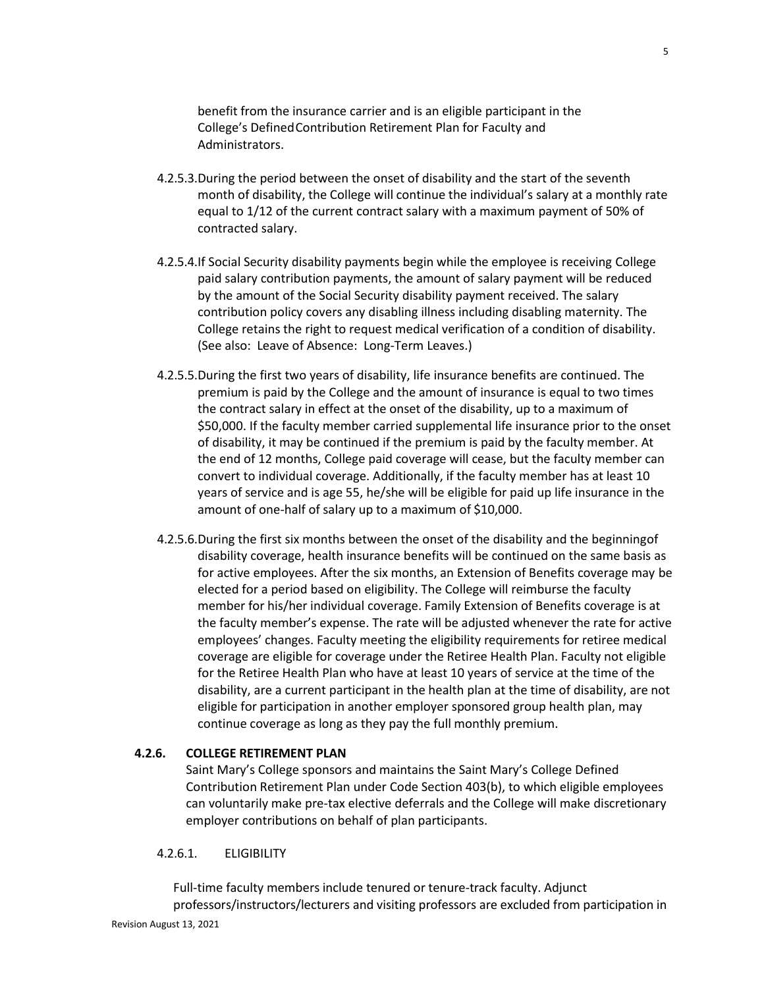benefit from the insurance carrier and is an eligible participant in the College's Defined Contribution Retirement Plan for Faculty and Administrators.

- 4.2.5.3.During the period between the onset of disability and the start of the seventh month of disability, the College will continue the individual's salary at a monthly rate equal to 1/12 of the current contract salary with a maximum payment of 50% of contracted salary.
- 4.2.5.4.If Social Security disability payments begin while the employee is receiving College paid salary contribution payments, the amount of salary payment will be reduced by the amount of the Social Security disability payment received. The salary contribution policy covers any disabling illness including disabling maternity. The College retains the right to request medical verification of a condition of disability. (See also: Leave of Absence: Long-Term Leaves.)
- 4.2.5.5.During the first two years of disability, life insurance benefits are continued. The premium is paid by the College and the amount of insurance is equal to two times the contract salary in effect at the onset of the disability, up to a maximum of \$50,000. If the faculty member carried supplemental life insurance prior to the onset of disability, it may be continued if the premium is paid by the faculty member. At the end of 12 months, College paid coverage will cease, but the faculty member can convert to individual coverage. Additionally, if the faculty member has at least 10 years of service and is age 55, he/she will be eligible for paid up life insurance in the amount of one-half of salary up to a maximum of \$10,000.
- 4.2.5.6.During the first six months between the onset of the disability and the beginningof disability coverage, health insurance benefits will be continued on the same basis as for active employees. After the six months, an Extension of Benefits coverage may be elected for a period based on eligibility. The College will reimburse the faculty member for his/her individual coverage. Family Extension of Benefits coverage is at the faculty member's expense. The rate will be adjusted whenever the rate for active employees' changes. Faculty meeting the eligibility requirements for retiree medical coverage are eligible for coverage under the Retiree Health Plan. Faculty not eligible for the Retiree Health Plan who have at least 10 years of service at the time of the disability, are a current participant in the health plan at the time of disability, are not eligible for participation in another employer sponsored group health plan, may continue coverage as long as they pay the full monthly premium.

# **4.2.6. COLLEGE RETIREMENT PLAN**

Saint Mary's College sponsors and maintains the Saint Mary's College Defined Contribution Retirement Plan under Code Section 403(b), to which eligible employees can voluntarily make pre-tax elective deferrals and the College will make discretionary employer contributions on behalf of plan participants.

### 4.2.6.1. ELIGIBILITY

Revision August 13, 2021 Full-time faculty members include tenured or tenure-track faculty. Adjunct professors/instructors/lecturers and visiting professors are excluded from participation in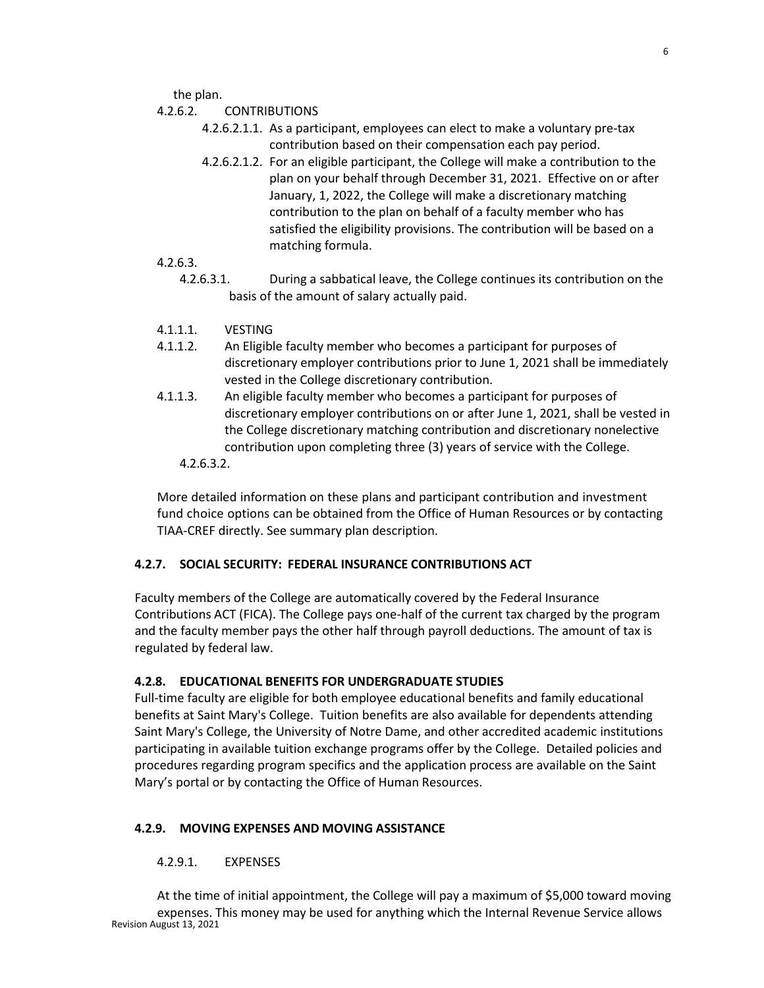the plan.

- 4.2.6.2. CONTRIBUTIONS
	- 4.2.6.2.1.1. As a participant, employees can elect to make a voluntary pre-tax contribution based on their compensation each pay period.
	- 4.2.6.2.1.2. For an eligible participant, the College will make a contribution to the plan on your behalf through December 31, 2021. Effective on or after January, 1, 2022, the College will make a discretionary matching contribution to the plan on behalf of a faculty member who has satisfied the eligibility provisions. The contribution will be based on a matching formula.
- 4.2.6.3.
	- 4.2.6.3.1. During a sabbatical leave, the College continues its contribution on the basis of the amount of salary actually paid.
- 4.1.1.1. VESTING
- 4.1.1.2. An Eligible faculty member who becomes a participant for purposes of discretionary employer contributions prior to June 1, 2021 shall be immediately vested in the College discretionary contribution.
- 4.1.1.3. An eligible faculty member who becomes a participant for purposes of discretionary employer contributions on or after June 1, 2021, shall be vested in the College discretionary matching contribution and discretionary nonelective contribution upon completing three (3) years of service with the College.
	- 4.2.6.3.2.

More detailed information on these plans and participant contribution and investment fund choice options can be obtained from the Office of Human Resources or by contacting TIAA-CREF directly. See summary plan description.

### **4.2.7. SOCIAL SECURITY: FEDERAL INSURANCE CONTRIBUTIONS ACT**

Faculty members of the College are automatically covered by the Federal Insurance Contributions ACT (FICA). The College pays one-half of the current tax charged by the program and the faculty member pays the other half through payroll deductions. The amount of tax is regulated by federal law.

### **4.2.8. EDUCATIONAL BENEFITS FOR UNDERGRADUATE STUDIES**

Full-time faculty are eligible for both employee educational benefits and family educational benefits at Saint Mary's College. Tuition benefits are also available for dependents attending Saint Mary's College, the University of Notre Dame, and other accredited academic institutions participating in available tuition exchange programs offer by the College. Detailed policies and procedures regarding program specifics and the application process are available on the Saint Mary's portal or by contacting the Office of Human Resources.

### **4.2.9. MOVING EXPENSES AND MOVING ASSISTANCE**

### 4.2.9.1. EXPENSES

Revision August 13, 2021 At the time of initial appointment, the College will pay a maximum of \$5,000 toward moving expenses. This money may be used for anything which the Internal Revenue Service allows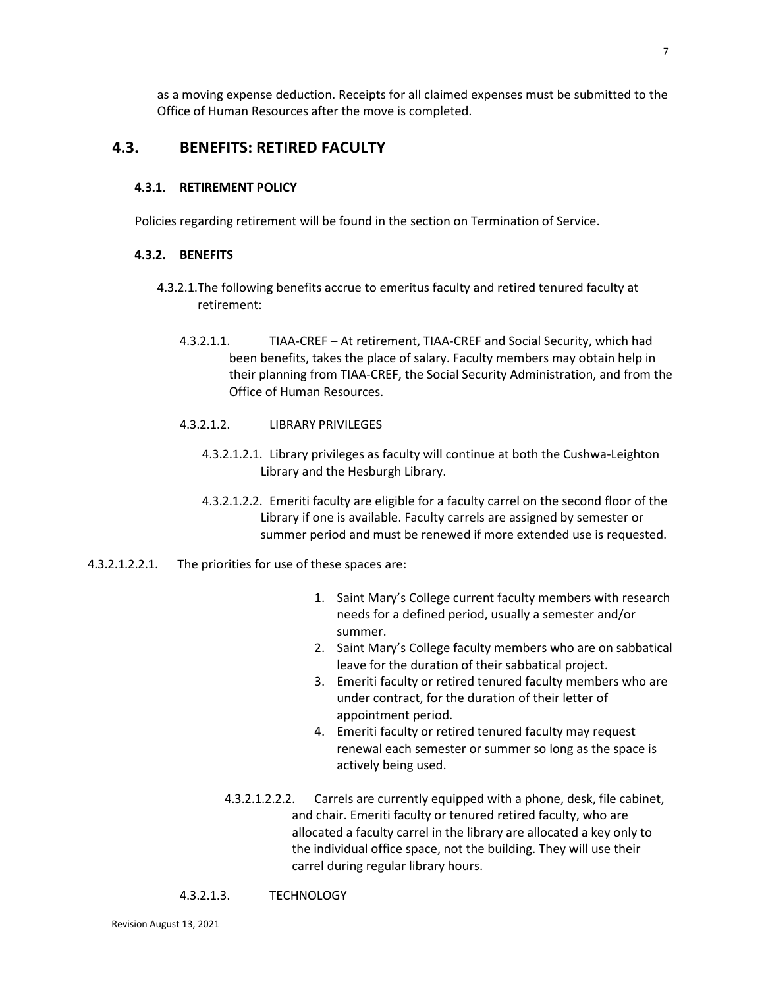as a moving expense deduction. Receipts for all claimed expenses must be submitted to the Office of Human Resources after the move is completed.

# **4.3. BENEFITS: RETIRED FACULTY**

#### **4.3.1. RETIREMENT POLICY**

Policies regarding retirement will be found in the section on Termination of Service.

### **4.3.2. BENEFITS**

- 4.3.2.1.The following benefits accrue to emeritus faculty and retired tenured faculty at retirement:
	- 4.3.2.1.1. TIAA-CREF At retirement, TIAA-CREF and Social Security, which had been benefits, takes the place of salary. Faculty members may obtain help in their planning from TIAA-CREF, the Social Security Administration, and from the Office of Human Resources.
	- 4.3.2.1.2. LIBRARY PRIVILEGES
		- 4.3.2.1.2.1. Library privileges as faculty will continue at both the Cushwa-Leighton Library and the Hesburgh Library.
		- 4.3.2.1.2.2. Emeriti faculty are eligible for a faculty carrel on the second floor of the Library if one is available. Faculty carrels are assigned by semester or summer period and must be renewed if more extended use is requested.
- 4.3.2.1.2.2.1. The priorities for use of these spaces are:
	- 1. Saint Mary's College current faculty members with research needs for a defined period, usually a semester and/or summer.
	- 2. Saint Mary's College faculty members who are on sabbatical leave for the duration of their sabbatical project.
	- 3. Emeriti faculty or retired tenured faculty members who are under contract, for the duration of their letter of appointment period.
	- 4. Emeriti faculty or retired tenured faculty may request renewal each semester or summer so long as the space is actively being used.
	- 4.3.2.1.2.2.2. Carrels are currently equipped with a phone, desk, file cabinet, and chair. Emeriti faculty or tenured retired faculty, who are allocated a faculty carrel in the library are allocated a key only to the individual office space, not the building. They will use their carrel during regular library hours.
	- 4.3.2.1.3. TECHNOLOGY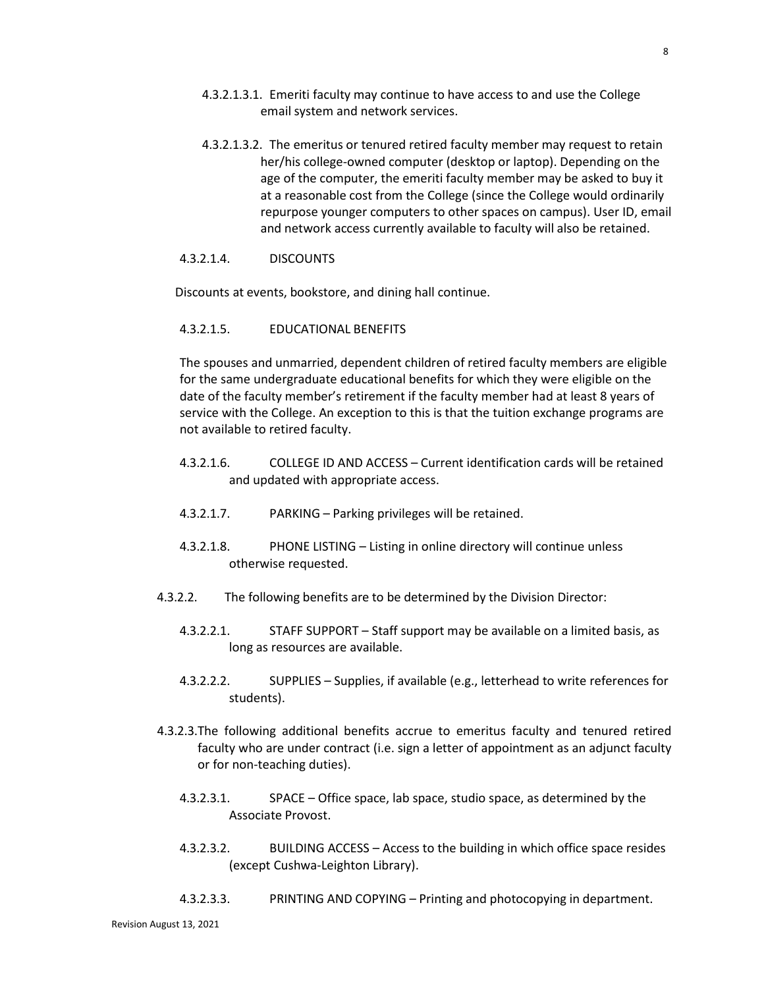- 4.3.2.1.3.1. Emeriti faculty may continue to have access to and use the College email system and network services.
- 4.3.2.1.3.2. The emeritus or tenured retired faculty member may request to retain her/his college-owned computer (desktop or laptop). Depending on the age of the computer, the emeriti faculty member may be asked to buy it at a reasonable cost from the College (since the College would ordinarily repurpose younger computers to other spaces on campus). User ID, email and network access currently available to faculty will also be retained.

### 4.3.2.1.4. DISCOUNTS

Discounts at events, bookstore, and dining hall continue.

### 4.3.2.1.5. EDUCATIONAL BENEFITS

The spouses and unmarried, dependent children of retired faculty members are eligible for the same undergraduate educational benefits for which they were eligible on the date of the faculty member's retirement if the faculty member had at least 8 years of service with the College. An exception to this is that the tuition exchange programs are not available to retired faculty.

- 4.3.2.1.6. COLLEGE ID AND ACCESS Current identification cards will be retained and updated with appropriate access.
- 4.3.2.1.7. PARKING Parking privileges will be retained.
- 4.3.2.1.8. PHONE LISTING Listing in online directory will continue unless otherwise requested.
- 4.3.2.2. The following benefits are to be determined by the Division Director:
	- 4.3.2.2.1. STAFF SUPPORT Staff support may be available on a limited basis, as long as resources are available.
	- 4.3.2.2.2. SUPPLIES Supplies, if available (e.g., letterhead to write references for students).
- 4.3.2.3.The following additional benefits accrue to emeritus faculty and tenured retired faculty who are under contract (i.e. sign a letter of appointment as an adjunct faculty or for non-teaching duties).
	- 4.3.2.3.1. SPACE Office space, lab space, studio space, as determined by the Associate Provost.
	- 4.3.2.3.2. BUILDING ACCESS Access to the building in which office space resides (except Cushwa-Leighton Library).
	- 4.3.2.3.3. PRINTING AND COPYING Printing and photocopying in department.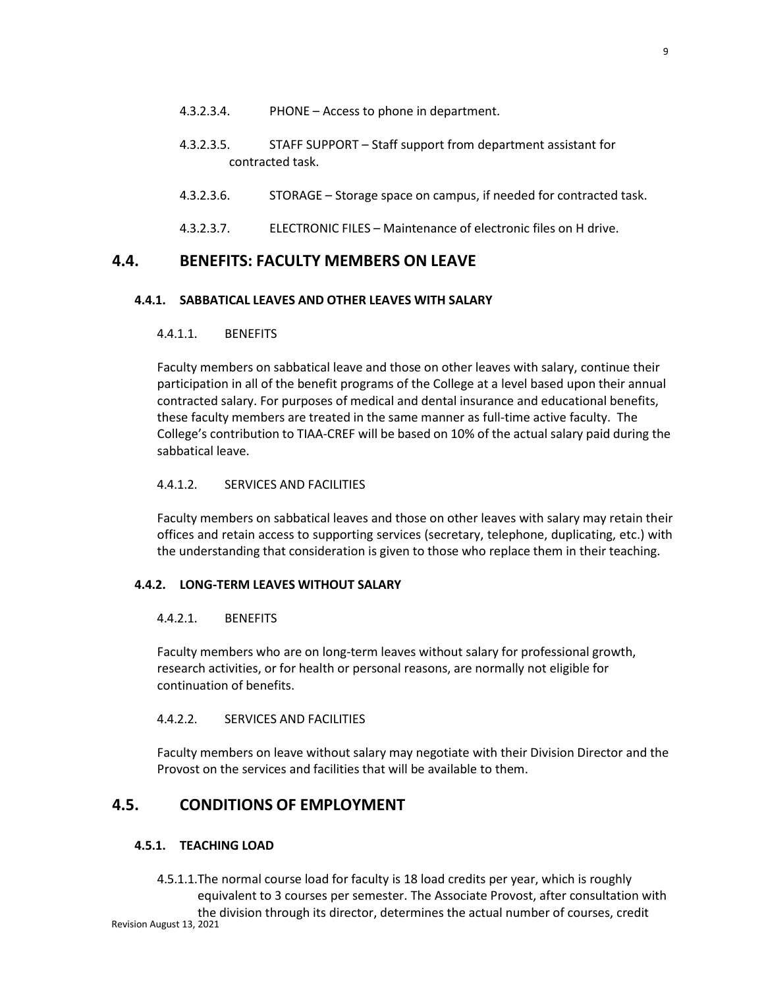- 4.3.2.3.4. PHONE Access to phone in department.
- 4.3.2.3.5. STAFF SUPPORT Staff support from department assistant for contracted task.
- 4.3.2.3.6. STORAGE Storage space on campus, if needed for contracted task.
- 4.3.2.3.7. ELECTRONIC FILES Maintenance of electronic files on H drive.

# **4.4. BENEFITS: FACULTY MEMBERS ON LEAVE**

# **4.4.1. SABBATICAL LEAVES AND OTHER LEAVES WITH SALARY**

# 4.4.1.1. BENEFITS

Faculty members on sabbatical leave and those on other leaves with salary, continue their participation in all of the benefit programs of the College at a level based upon their annual contracted salary. For purposes of medical and dental insurance and educational benefits, these faculty members are treated in the same manner as full-time active faculty. The College's contribution to TIAA-CREF will be based on 10% of the actual salary paid during the sabbatical leave.

# 4.4.1.2. SERVICES AND FACILITIES

Faculty members on sabbatical leaves and those on other leaves with salary may retain their offices and retain access to supporting services (secretary, telephone, duplicating, etc.) with the understanding that consideration is given to those who replace them in their teaching.

# **4.4.2. LONG-TERM LEAVES WITHOUT SALARY**

# 4.4.2.1. BENEFITS

Faculty members who are on long-term leaves without salary for professional growth, research activities, or for health or personal reasons, are normally not eligible for continuation of benefits.

# 4.4.2.2. SERVICES AND FACILITIES

Faculty members on leave without salary may negotiate with their Division Director and the Provost on the services and facilities that will be available to them.

# **4.5. CONDITIONS OF EMPLOYMENT**

# **4.5.1. TEACHING LOAD**

Revision August 13, 2021 4.5.1.1.The normal course load for faculty is 18 load credits per year, which is roughly equivalent to 3 courses per semester. The Associate Provost, after consultation with the division through its director, determines the actual number of courses, credit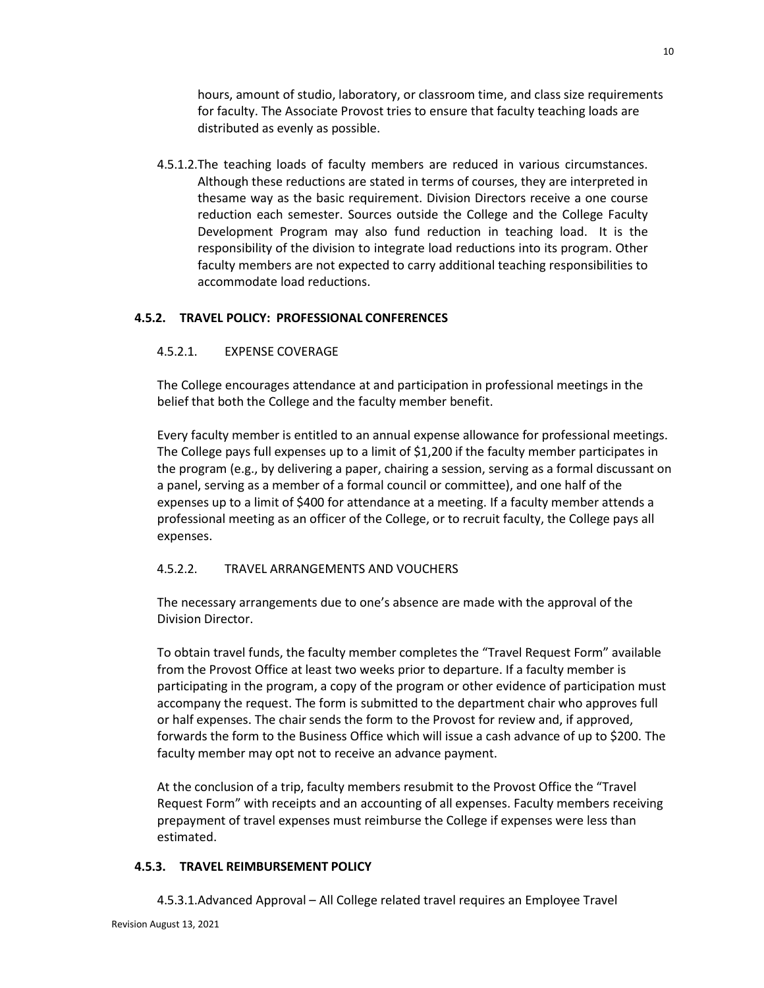hours, amount of studio, laboratory, or classroom time, and class size requirements for faculty. The Associate Provost tries to ensure that faculty teaching loads are distributed as evenly as possible.

4.5.1.2.The teaching loads of faculty members are reduced in various circumstances. Although these reductions are stated in terms of courses, they are interpreted in thesame way as the basic requirement. Division Directors receive a one course reduction each semester. Sources outside the College and the College Faculty Development Program may also fund reduction in teaching load. It is the responsibility of the division to integrate load reductions into its program. Other faculty members are not expected to carry additional teaching responsibilities to accommodate load reductions.

# **4.5.2. TRAVEL POLICY: PROFESSIONAL CONFERENCES**

### 4.5.2.1. EXPENSE COVERAGE

The College encourages attendance at and participation in professional meetings in the belief that both the College and the faculty member benefit.

Every faculty member is entitled to an annual expense allowance for professional meetings. The College pays full expenses up to a limit of \$1,200 if the faculty member participates in the program (e.g., by delivering a paper, chairing a session, serving as a formal discussant on a panel, serving as a member of a formal council or committee), and one half of the expenses up to a limit of \$400 for attendance at a meeting. If a faculty member attends a professional meeting as an officer of the College, or to recruit faculty, the College pays all expenses.

### 4.5.2.2. TRAVEL ARRANGEMENTS AND VOUCHERS

The necessary arrangements due to one's absence are made with the approval of the Division Director.

To obtain travel funds, the faculty member completes the "Travel Request Form" available from the Provost Office at least two weeks prior to departure. If a faculty member is participating in the program, a copy of the program or other evidence of participation must accompany the request. The form is submitted to the department chair who approves full or half expenses. The chair sends the form to the Provost for review and, if approved, forwards the form to the Business Office which will issue a cash advance of up to \$200. The faculty member may opt not to receive an advance payment.

At the conclusion of a trip, faculty members resubmit to the Provost Office the "Travel Request Form" with receipts and an accounting of all expenses. Faculty members receiving prepayment of travel expenses must reimburse the College if expenses were less than estimated.

### **4.5.3. TRAVEL REIMBURSEMENT POLICY**

4.5.3.1.Advanced Approval – All College related travel requires an Employee Travel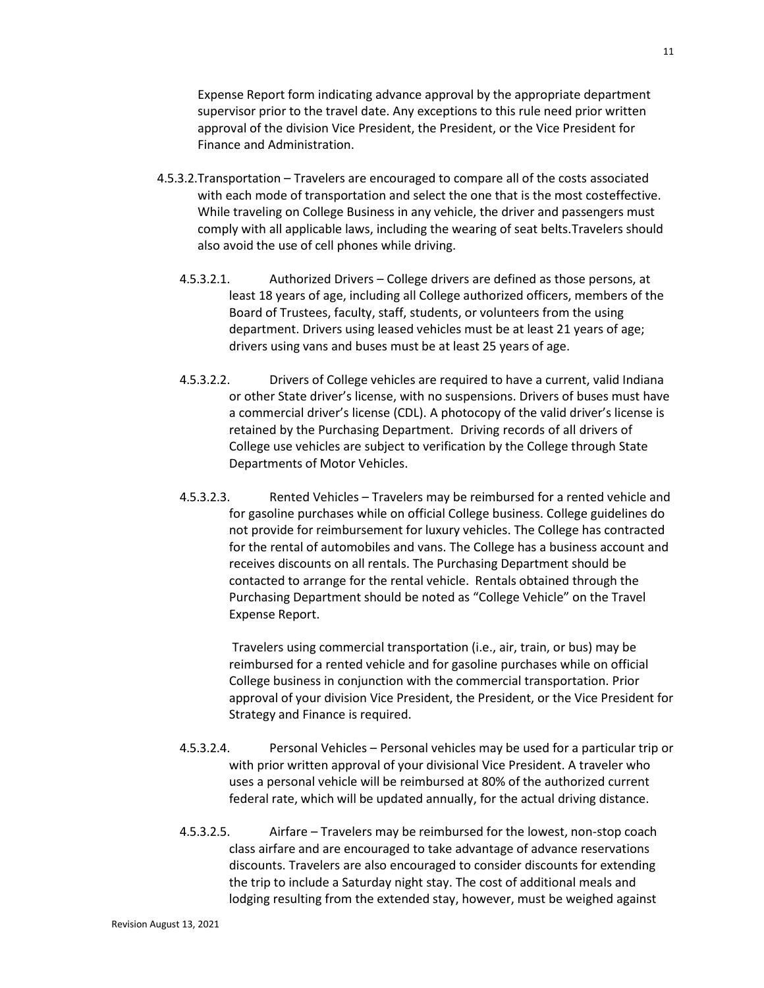Expense Report form indicating advance approval by the appropriate department supervisor prior to the travel date. Any exceptions to this rule need prior written approval of the division Vice President, the President, or the Vice President for Finance and Administration.

- 4.5.3.2.Transportation Travelers are encouraged to compare all of the costs associated with each mode of transportation and select the one that is the most costeffective. While traveling on College Business in any vehicle, the driver and passengers must comply with all applicable laws, including the wearing of seat belts.Travelers should also avoid the use of cell phones while driving.
	- 4.5.3.2.1. Authorized Drivers College drivers are defined as those persons, at least 18 years of age, including all College authorized officers, members of the Board of Trustees, faculty, staff, students, or volunteers from the using department. Drivers using leased vehicles must be at least 21 years of age; drivers using vans and buses must be at least 25 years of age.
	- 4.5.3.2.2. Drivers of College vehicles are required to have a current, valid Indiana or other State driver's license, with no suspensions. Drivers of buses must have a commercial driver's license (CDL). A photocopy of the valid driver's license is retained by the Purchasing Department. Driving records of all drivers of College use vehicles are subject to verification by the College through State Departments of Motor Vehicles.
	- 4.5.3.2.3. Rented Vehicles Travelers may be reimbursed for a rented vehicle and for gasoline purchases while on official College business. College guidelines do not provide for reimbursement for luxury vehicles. The College has contracted for the rental of automobiles and vans. The College has a business account and receives discounts on all rentals. The Purchasing Department should be contacted to arrange for the rental vehicle. Rentals obtained through the Purchasing Department should be noted as "College Vehicle" on the Travel Expense Report.

Travelers using commercial transportation (i.e., air, train, or bus) may be reimbursed for a rented vehicle and for gasoline purchases while on official College business in conjunction with the commercial transportation. Prior approval of your division Vice President, the President, or the Vice President for Strategy and Finance is required.

- 4.5.3.2.4. Personal Vehicles Personal vehicles may be used for a particular trip or with prior written approval of your divisional Vice President. A traveler who uses a personal vehicle will be reimbursed at 80% of the authorized current federal rate, which will be updated annually, for the actual driving distance.
- 4.5.3.2.5. Airfare Travelers may be reimbursed for the lowest, non-stop coach class airfare and are encouraged to take advantage of advance reservations discounts. Travelers are also encouraged to consider discounts for extending the trip to include a Saturday night stay. The cost of additional meals and lodging resulting from the extended stay, however, must be weighed against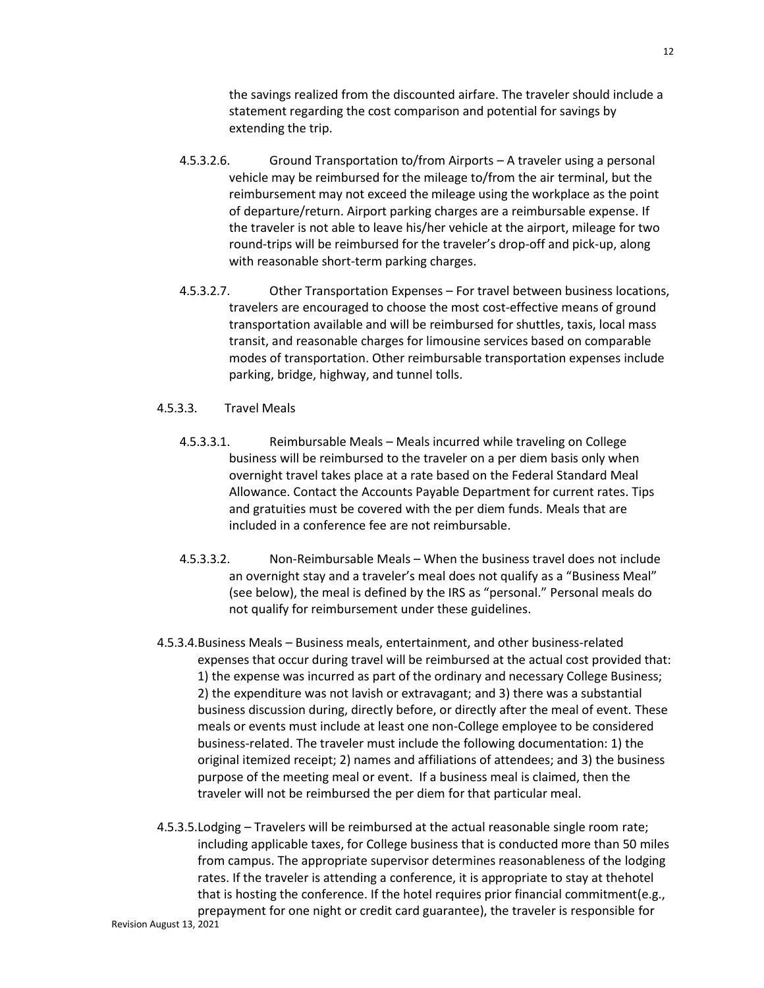the savings realized from the discounted airfare. The traveler should include a statement regarding the cost comparison and potential for savings by extending the trip.

- 4.5.3.2.6. Ground Transportation to/from Airports A traveler using a personal vehicle may be reimbursed for the mileage to/from the air terminal, but the reimbursement may not exceed the mileage using the workplace as the point of departure/return. Airport parking charges are a reimbursable expense. If the traveler is not able to leave his/her vehicle at the airport, mileage for two round-trips will be reimbursed for the traveler's drop-off and pick-up, along with reasonable short-term parking charges.
- 4.5.3.2.7. Other Transportation Expenses For travel between business locations, travelers are encouraged to choose the most cost-effective means of ground transportation available and will be reimbursed for shuttles, taxis, local mass transit, and reasonable charges for limousine services based on comparable modes of transportation. Other reimbursable transportation expenses include parking, bridge, highway, and tunnel tolls.

### 4.5.3.3. Travel Meals

- 4.5.3.3.1. Reimbursable Meals Meals incurred while traveling on College business will be reimbursed to the traveler on a per diem basis only when overnight travel takes place at a rate based on the Federal Standard Meal Allowance. Contact the Accounts Payable Department for current rates. Tips and gratuities must be covered with the per diem funds. Meals that are included in a conference fee are not reimbursable.
- 4.5.3.3.2. Non-Reimbursable Meals When the business travel does not include an overnight stay and a traveler's meal does not qualify as a "Business Meal" (see below), the meal is defined by the IRS as "personal." Personal meals do not qualify for reimbursement under these guidelines.
- 4.5.3.4.Business Meals Business meals, entertainment, and other business-related expenses that occur during travel will be reimbursed at the actual cost provided that: 1) the expense was incurred as part of the ordinary and necessary College Business; 2) the expenditure was not lavish or extravagant; and 3) there was a substantial business discussion during, directly before, or directly after the meal of event. These meals or events must include at least one non-College employee to be considered business-related. The traveler must include the following documentation: 1) the original itemized receipt; 2) names and affiliations of attendees; and 3) the business purpose of the meeting meal or event. If a business meal is claimed, then the traveler will not be reimbursed the per diem for that particular meal.
- Revision August 13, 2021 4.5.3.5.Lodging – Travelers will be reimbursed at the actual reasonable single room rate; including applicable taxes, for College business that is conducted more than 50 miles from campus. The appropriate supervisor determines reasonableness of the lodging rates. If the traveler is attending a conference, it is appropriate to stay at thehotel that is hosting the conference. If the hotel requires prior financial commitment(e.g., prepayment for one night or credit card guarantee), the traveler is responsible for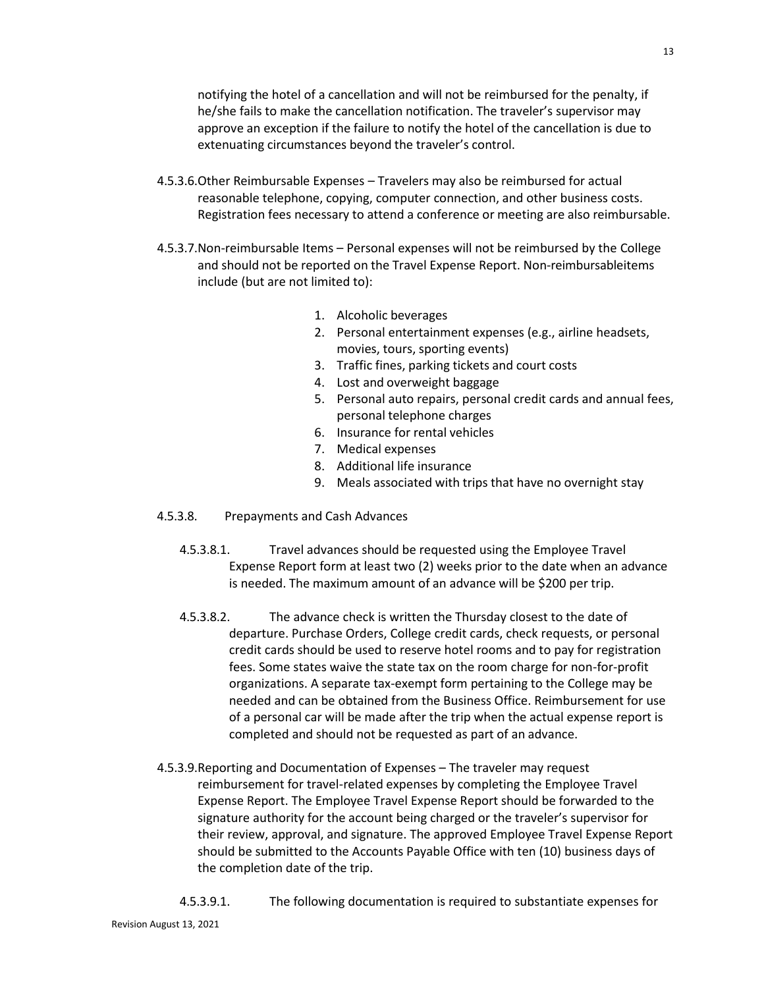notifying the hotel of a cancellation and will not be reimbursed for the penalty, if he/she fails to make the cancellation notification. The traveler's supervisor may approve an exception if the failure to notify the hotel of the cancellation is due to extenuating circumstances beyond the traveler's control.

- 4.5.3.6.Other Reimbursable Expenses Travelers may also be reimbursed for actual reasonable telephone, copying, computer connection, and other business costs. Registration fees necessary to attend a conference or meeting are also reimbursable.
- 4.5.3.7.Non-reimbursable Items Personal expenses will not be reimbursed by the College and should not be reported on the Travel Expense Report. Non-reimbursableitems include (but are not limited to):
	- 1. Alcoholic beverages
	- 2. Personal entertainment expenses (e.g., airline headsets, movies, tours, sporting events)
	- 3. Traffic fines, parking tickets and court costs
	- 4. Lost and overweight baggage
	- 5. Personal auto repairs, personal credit cards and annual fees, personal telephone charges
	- 6. Insurance for rental vehicles
	- 7. Medical expenses
	- 8. Additional life insurance
	- 9. Meals associated with trips that have no overnight stay
- 4.5.3.8. Prepayments and Cash Advances
	- 4.5.3.8.1. Travel advances should be requested using the Employee Travel Expense Report form at least two (2) weeks prior to the date when an advance is needed. The maximum amount of an advance will be \$200 per trip.
	- 4.5.3.8.2. The advance check is written the Thursday closest to the date of departure. Purchase Orders, College credit cards, check requests, or personal credit cards should be used to reserve hotel rooms and to pay for registration fees. Some states waive the state tax on the room charge for non-for-profit organizations. A separate tax-exempt form pertaining to the College may be needed and can be obtained from the Business Office. Reimbursement for use of a personal car will be made after the trip when the actual expense report is completed and should not be requested as part of an advance.
- 4.5.3.9.Reporting and Documentation of Expenses The traveler may request reimbursement for travel-related expenses by completing the Employee Travel Expense Report. The Employee Travel Expense Report should be forwarded to the signature authority for the account being charged or the traveler's supervisor for their review, approval, and signature. The approved Employee Travel Expense Report should be submitted to the Accounts Payable Office with ten (10) business days of the completion date of the trip.
	- 4.5.3.9.1. The following documentation is required to substantiate expenses for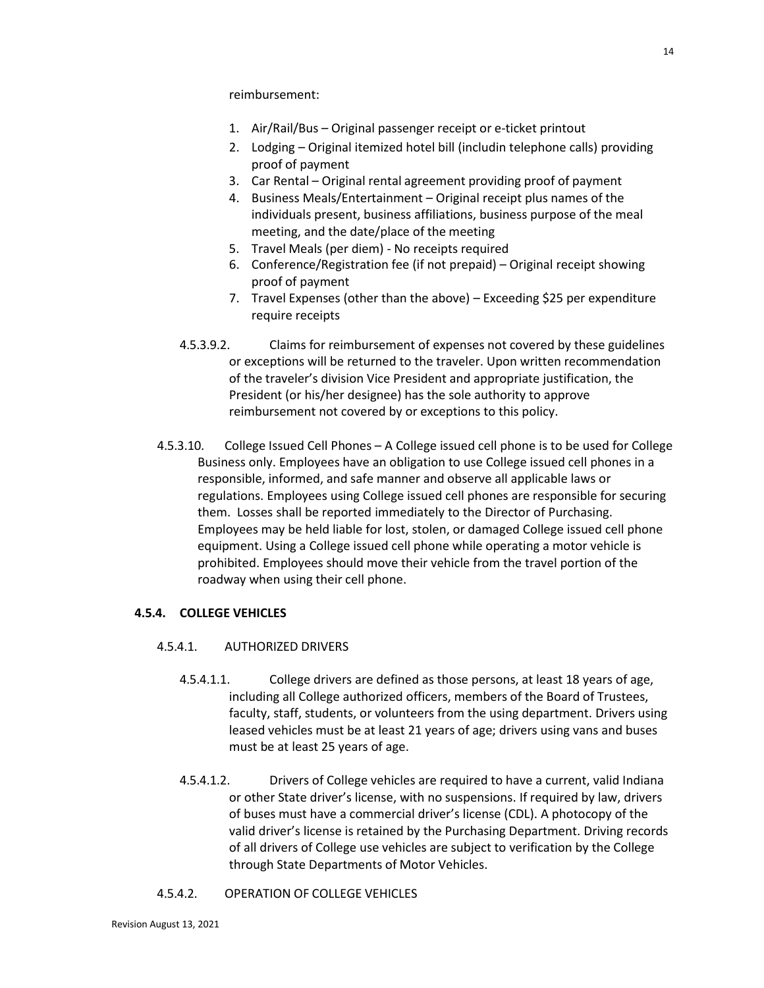reimbursement:

- 1. Air/Rail/Bus Original passenger receipt or e-ticket printout
- 2. Lodging Original itemized hotel bill (includin telephone calls) providing proof of payment
- 3. Car Rental Original rental agreement providing proof of payment
- 4. Business Meals/Entertainment Original receipt plus names of the individuals present, business affiliations, business purpose of the meal meeting, and the date/place of the meeting
- 5. Travel Meals (per diem) No receipts required
- 6. Conference/Registration fee (if not prepaid) Original receipt showing proof of payment
- 7. Travel Expenses (other than the above) Exceeding \$25 per expenditure require receipts
- 4.5.3.9.2. Claims for reimbursement of expenses not covered by these guidelines or exceptions will be returned to the traveler. Upon written recommendation of the traveler's division Vice President and appropriate justification, the President (or his/her designee) has the sole authority to approve reimbursement not covered by or exceptions to this policy.
- 4.5.3.10. College Issued Cell Phones A College issued cell phone is to be used for College Business only. Employees have an obligation to use College issued cell phones in a responsible, informed, and safe manner and observe all applicable laws or regulations. Employees using College issued cell phones are responsible for securing them. Losses shall be reported immediately to the Director of Purchasing. Employees may be held liable for lost, stolen, or damaged College issued cell phone equipment. Using a College issued cell phone while operating a motor vehicle is prohibited. Employees should move their vehicle from the travel portion of the roadway when using their cell phone.

# **4.5.4. COLLEGE VEHICLES**

# 4.5.4.1. AUTHORIZED DRIVERS

- 4.5.4.1.1. College drivers are defined as those persons, at least 18 years of age, including all College authorized officers, members of the Board of Trustees, faculty, staff, students, or volunteers from the using department. Drivers using leased vehicles must be at least 21 years of age; drivers using vans and buses must be at least 25 years of age.
- 4.5.4.1.2. Drivers of College vehicles are required to have a current, valid Indiana or other State driver's license, with no suspensions. If required by law, drivers of buses must have a commercial driver's license (CDL). A photocopy of the valid driver's license is retained by the Purchasing Department. Driving records of all drivers of College use vehicles are subject to verification by the College through State Departments of Motor Vehicles.

# 4.5.4.2. OPERATION OF COLLEGE VEHICLES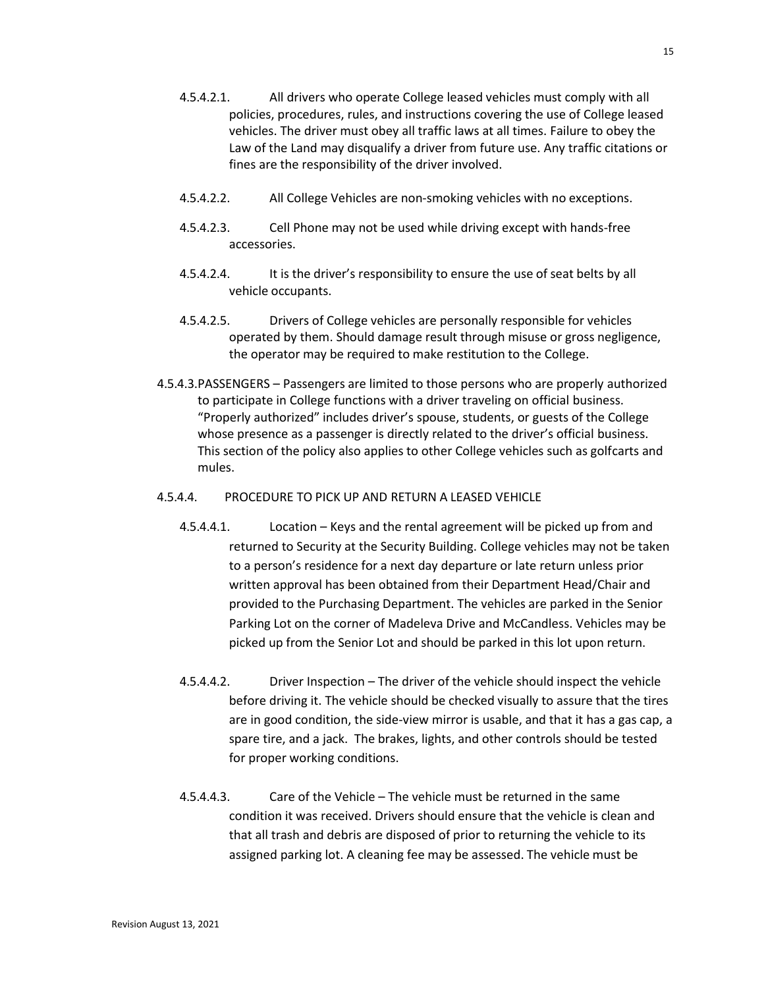- 4.5.4.2.1. All drivers who operate College leased vehicles must comply with all policies, procedures, rules, and instructions covering the use of College leased vehicles. The driver must obey all traffic laws at all times. Failure to obey the Law of the Land may disqualify a driver from future use. Any traffic citations or fines are the responsibility of the driver involved.
- 4.5.4.2.2. All College Vehicles are non-smoking vehicles with no exceptions.
- 4.5.4.2.3. Cell Phone may not be used while driving except with hands-free accessories.
- 4.5.4.2.4. It is the driver's responsibility to ensure the use of seat belts by all vehicle occupants.
- 4.5.4.2.5. Drivers of College vehicles are personally responsible for vehicles operated by them. Should damage result through misuse or gross negligence, the operator may be required to make restitution to the College.
- 4.5.4.3.PASSENGERS Passengers are limited to those persons who are properly authorized to participate in College functions with a driver traveling on official business. "Properly authorized" includes driver's spouse, students, or guests of the College whose presence as a passenger is directly related to the driver's official business. This section of the policy also applies to other College vehicles such as golfcarts and mules.

### 4.5.4.4. PROCEDURE TO PICK UP AND RETURN A LEASED VEHICLE

- 4.5.4.4.1. Location Keys and the rental agreement will be picked up from and returned to Security at the Security Building. College vehicles may not be taken to a person's residence for a next day departure or late return unless prior written approval has been obtained from their Department Head/Chair and provided to the Purchasing Department. The vehicles are parked in the Senior Parking Lot on the corner of Madeleva Drive and McCandless. Vehicles may be picked up from the Senior Lot and should be parked in this lot upon return.
- 4.5.4.4.2. Driver Inspection The driver of the vehicle should inspect the vehicle before driving it. The vehicle should be checked visually to assure that the tires are in good condition, the side-view mirror is usable, and that it has a gas cap, a spare tire, and a jack. The brakes, lights, and other controls should be tested for proper working conditions.
- 4.5.4.4.3. Care of the Vehicle The vehicle must be returned in the same condition it was received. Drivers should ensure that the vehicle is clean and that all trash and debris are disposed of prior to returning the vehicle to its assigned parking lot. A cleaning fee may be assessed. The vehicle must be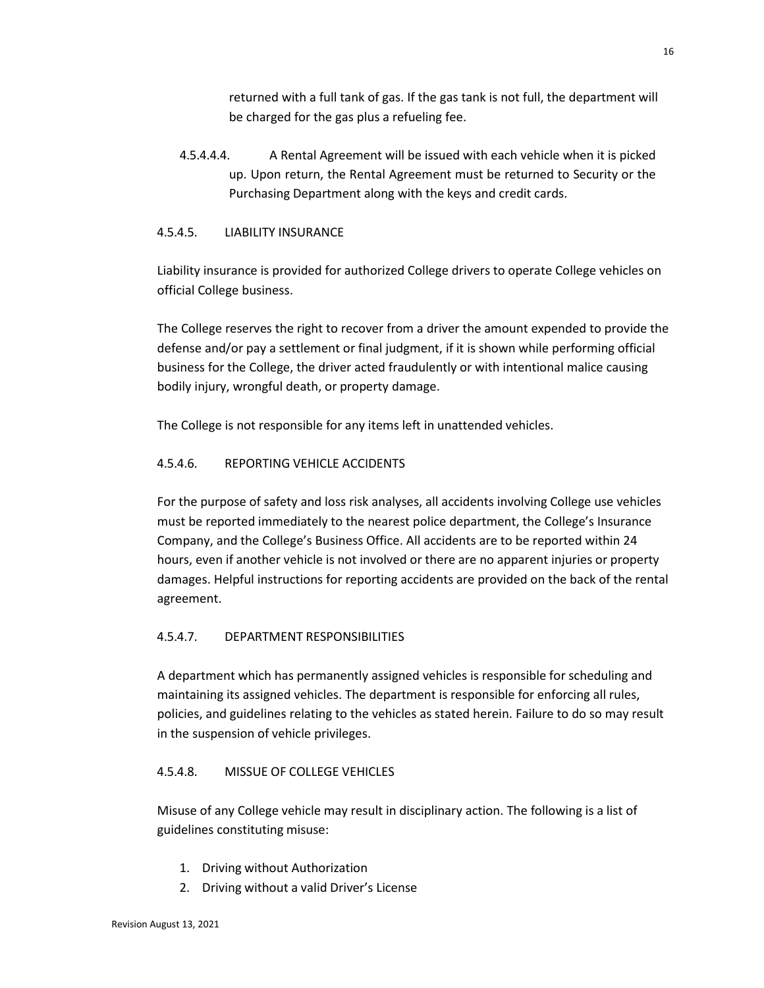returned with a full tank of gas. If the gas tank is not full, the department will be charged for the gas plus a refueling fee.

4.5.4.4.4. A Rental Agreement will be issued with each vehicle when it is picked up. Upon return, the Rental Agreement must be returned to Security or the Purchasing Department along with the keys and credit cards.

# 4.5.4.5. LIABILITY INSURANCE

Liability insurance is provided for authorized College drivers to operate College vehicles on official College business.

The College reserves the right to recover from a driver the amount expended to provide the defense and/or pay a settlement or final judgment, if it is shown while performing official business for the College, the driver acted fraudulently or with intentional malice causing bodily injury, wrongful death, or property damage.

The College is not responsible for any items left in unattended vehicles.

# 4.5.4.6. REPORTING VEHICLE ACCIDENTS

For the purpose of safety and loss risk analyses, all accidents involving College use vehicles must be reported immediately to the nearest police department, the College's Insurance Company, and the College's Business Office. All accidents are to be reported within 24 hours, even if another vehicle is not involved or there are no apparent injuries or property damages. Helpful instructions for reporting accidents are provided on the back of the rental agreement.

# 4.5.4.7. DEPARTMENT RESPONSIBILITIES

A department which has permanently assigned vehicles is responsible for scheduling and maintaining its assigned vehicles. The department is responsible for enforcing all rules, policies, and guidelines relating to the vehicles as stated herein. Failure to do so may result in the suspension of vehicle privileges.

# 4.5.4.8. MISSUE OF COLLEGE VEHICLES

Misuse of any College vehicle may result in disciplinary action. The following is a list of guidelines constituting misuse:

- 1. Driving without Authorization
- 2. Driving without a valid Driver's License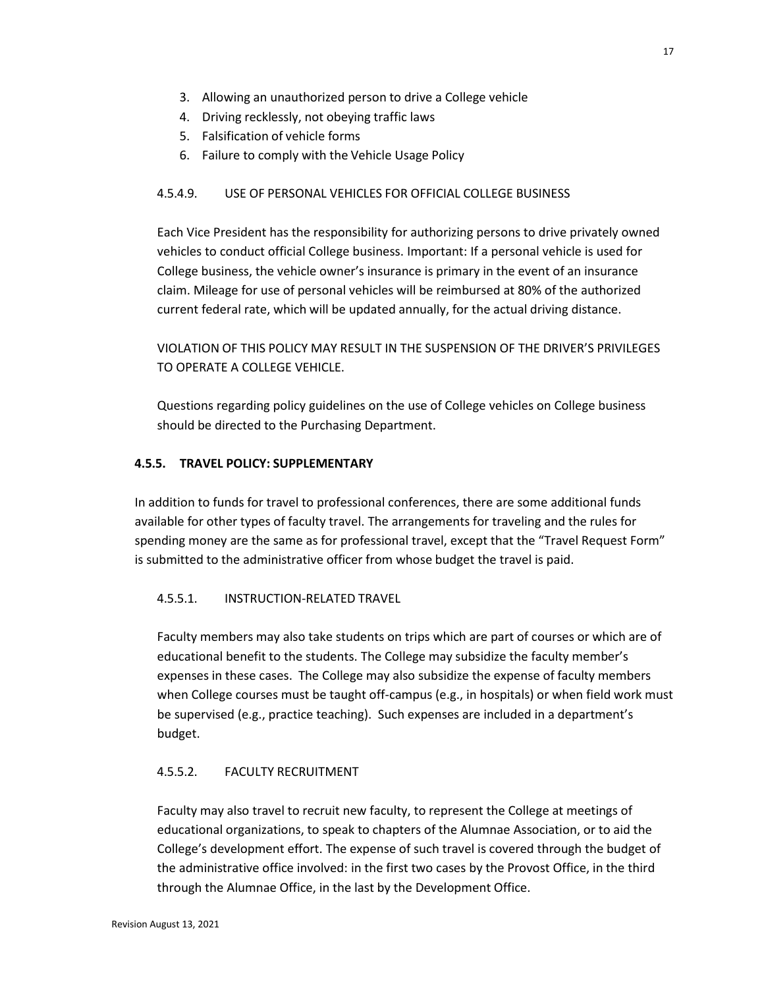- 3. Allowing an unauthorized person to drive a College vehicle
- 4. Driving recklessly, not obeying traffic laws
- 5. Falsification of vehicle forms
- 6. Failure to comply with the Vehicle Usage Policy

# 4.5.4.9. USE OF PERSONAL VEHICLES FOR OFFICIAL COLLEGE BUSINESS

Each Vice President has the responsibility for authorizing persons to drive privately owned vehicles to conduct official College business. Important: If a personal vehicle is used for College business, the vehicle owner's insurance is primary in the event of an insurance claim. Mileage for use of personal vehicles will be reimbursed at 80% of the authorized current federal rate, which will be updated annually, for the actual driving distance.

VIOLATION OF THIS POLICY MAY RESULT IN THE SUSPENSION OF THE DRIVER'S PRIVILEGES TO OPERATE A COLLEGE VEHICLE.

Questions regarding policy guidelines on the use of College vehicles on College business should be directed to the Purchasing Department.

# **4.5.5. TRAVEL POLICY: SUPPLEMENTARY**

In addition to funds for travel to professional conferences, there are some additional funds available for other types of faculty travel. The arrangements for traveling and the rules for spending money are the same as for professional travel, except that the "Travel Request Form" is submitted to the administrative officer from whose budget the travel is paid.

# 4.5.5.1. INSTRUCTION-RELATED TRAVEL

Faculty members may also take students on trips which are part of courses or which are of educational benefit to the students. The College may subsidize the faculty member's expenses in these cases. The College may also subsidize the expense of faculty members when College courses must be taught off-campus (e.g., in hospitals) or when field work must be supervised (e.g., practice teaching). Such expenses are included in a department's budget.

# 4.5.5.2. FACULTY RECRUITMENT

Faculty may also travel to recruit new faculty, to represent the College at meetings of educational organizations, to speak to chapters of the Alumnae Association, or to aid the College's development effort. The expense of such travel is covered through the budget of the administrative office involved: in the first two cases by the Provost Office, in the third through the Alumnae Office, in the last by the Development Office.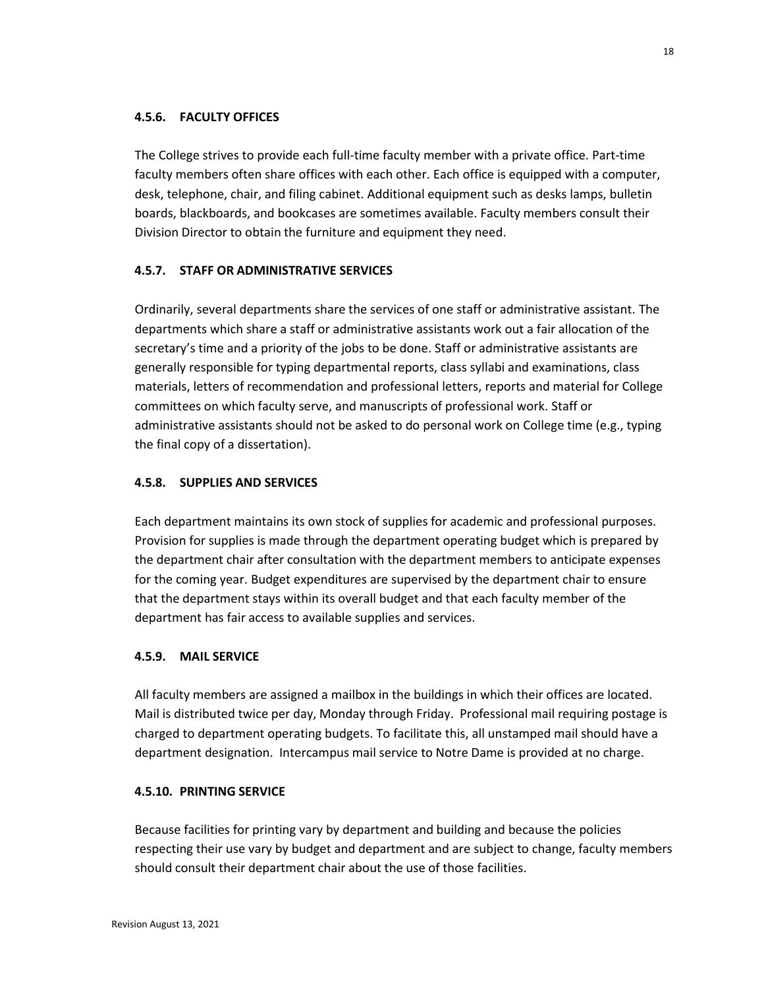### **4.5.6. FACULTY OFFICES**

The College strives to provide each full-time faculty member with a private office. Part-time faculty members often share offices with each other. Each office is equipped with a computer, desk, telephone, chair, and filing cabinet. Additional equipment such as desks lamps, bulletin boards, blackboards, and bookcases are sometimes available. Faculty members consult their Division Director to obtain the furniture and equipment they need.

# **4.5.7. STAFF OR ADMINISTRATIVE SERVICES**

Ordinarily, several departments share the services of one staff or administrative assistant. The departments which share a staff or administrative assistants work out a fair allocation of the secretary's time and a priority of the jobs to be done. Staff or administrative assistants are generally responsible for typing departmental reports, class syllabi and examinations, class materials, letters of recommendation and professional letters, reports and material for College committees on which faculty serve, and manuscripts of professional work. Staff or administrative assistants should not be asked to do personal work on College time (e.g., typing the final copy of a dissertation).

### **4.5.8. SUPPLIES AND SERVICES**

Each department maintains its own stock of supplies for academic and professional purposes. Provision for supplies is made through the department operating budget which is prepared by the department chair after consultation with the department members to anticipate expenses for the coming year. Budget expenditures are supervised by the department chair to ensure that the department stays within its overall budget and that each faculty member of the department has fair access to available supplies and services.

### **4.5.9. MAIL SERVICE**

All faculty members are assigned a mailbox in the buildings in which their offices are located. Mail is distributed twice per day, Monday through Friday. Professional mail requiring postage is charged to department operating budgets. To facilitate this, all unstamped mail should have a department designation. Intercampus mail service to Notre Dame is provided at no charge.

### **4.5.10. PRINTING SERVICE**

Because facilities for printing vary by department and building and because the policies respecting their use vary by budget and department and are subject to change, faculty members should consult their department chair about the use of those facilities.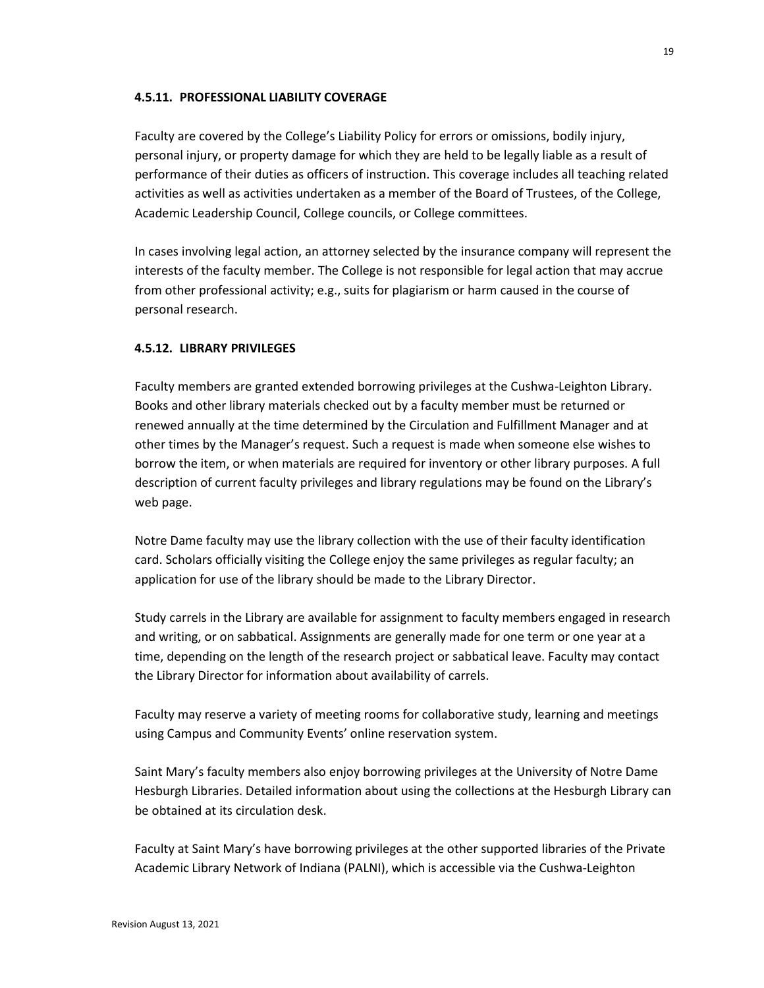### **4.5.11. PROFESSIONAL LIABILITY COVERAGE**

Faculty are covered by the College's Liability Policy for errors or omissions, bodily injury, personal injury, or property damage for which they are held to be legally liable as a result of performance of their duties as officers of instruction. This coverage includes all teaching related activities as well as activities undertaken as a member of the Board of Trustees, of the College, Academic Leadership Council, College councils, or College committees.

In cases involving legal action, an attorney selected by the insurance company will represent the interests of the faculty member. The College is not responsible for legal action that may accrue from other professional activity; e.g., suits for plagiarism or harm caused in the course of personal research.

# **4.5.12. LIBRARY PRIVILEGES**

Faculty members are granted extended borrowing privileges at the Cushwa-Leighton Library. Books and other library materials checked out by a faculty member must be returned or renewed annually at the time determined by the Circulation and Fulfillment Manager and at other times by the Manager's request. Such a request is made when someone else wishes to borrow the item, or when materials are required for inventory or other library purposes. A full description of current faculty privileges and library regulations may be found on the Library's web page.

Notre Dame faculty may use the library collection with the use of their faculty identification card. Scholars officially visiting the College enjoy the same privileges as regular faculty; an application for use of the library should be made to the Library Director.

Study carrels in the Library are available for assignment to faculty members engaged in research and writing, or on sabbatical. Assignments are generally made for one term or one year at a time, depending on the length of the research project or sabbatical leave. Faculty may contact the Library Director for information about availability of carrels.

Faculty may reserve a variety of meeting rooms for collaborative study, learning and meetings using Campus and Community Events' online reservation system.

Saint Mary's faculty members also enjoy borrowing privileges at the University of Notre Dame Hesburgh Libraries. Detailed information about using the collections at the Hesburgh Library can be obtained at its circulation desk.

Faculty at Saint Mary's have borrowing privileges at the other supported libraries of the Private Academic Library Network of Indiana (PALNI), which is accessible via the Cushwa-Leighton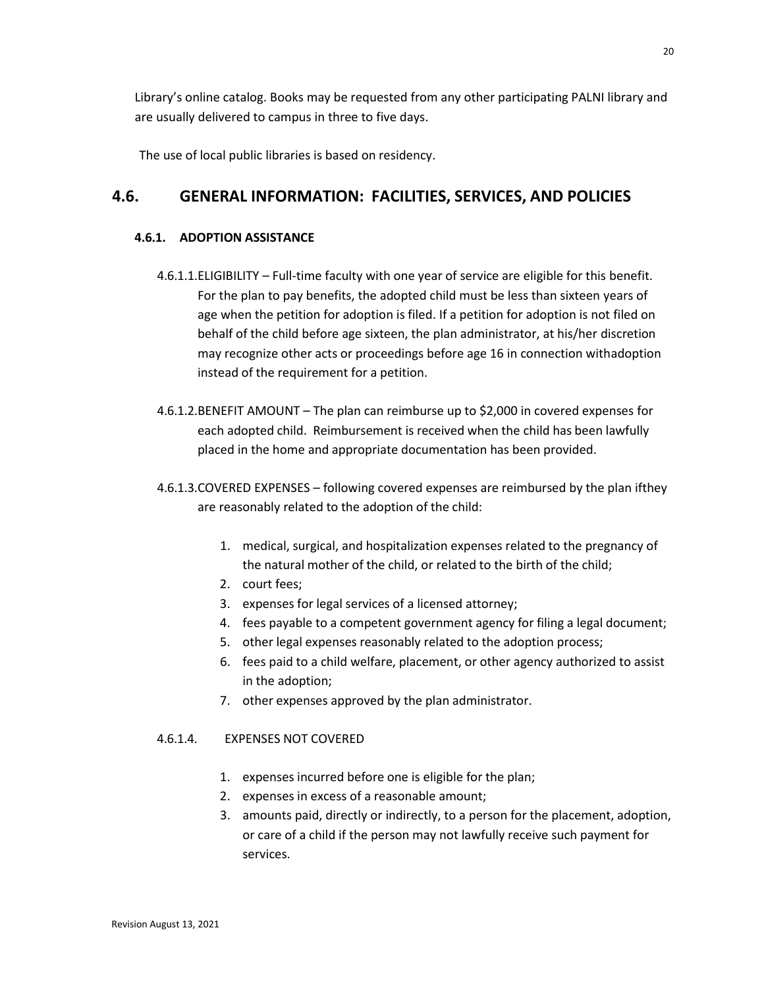Library's online catalog. Books may be requested from any other participating PALNI library and are usually delivered to campus in three to five days.

The use of local public libraries is based on residency.

# **4.6. GENERAL INFORMATION: FACILITIES, SERVICES, AND POLICIES**

# **4.6.1. ADOPTION ASSISTANCE**

- 4.6.1.1.ELIGIBILITY Full-time faculty with one year of service are eligible for this benefit. For the plan to pay benefits, the adopted child must be less than sixteen years of age when the petition for adoption is filed. If a petition for adoption is not filed on behalf of the child before age sixteen, the plan administrator, at his/her discretion may recognize other acts or proceedings before age 16 in connection withadoption instead of the requirement for a petition.
- 4.6.1.2.BENEFIT AMOUNT The plan can reimburse up to \$2,000 in covered expenses for each adopted child. Reimbursement is received when the child has been lawfully placed in the home and appropriate documentation has been provided.
- 4.6.1.3.COVERED EXPENSES following covered expenses are reimbursed by the plan ifthey are reasonably related to the adoption of the child:
	- 1. medical, surgical, and hospitalization expenses related to the pregnancy of the natural mother of the child, or related to the birth of the child;
	- 2. court fees;
	- 3. expenses for legal services of a licensed attorney;
	- 4. fees payable to a competent government agency for filing a legal document;
	- 5. other legal expenses reasonably related to the adoption process;
	- 6. fees paid to a child welfare, placement, or other agency authorized to assist in the adoption;
	- 7. other expenses approved by the plan administrator.

# 4.6.1.4. EXPENSES NOT COVERED

- 1. expenses incurred before one is eligible for the plan;
- 2. expenses in excess of a reasonable amount;
- 3. amounts paid, directly or indirectly, to a person for the placement, adoption, or care of a child if the person may not lawfully receive such payment for services.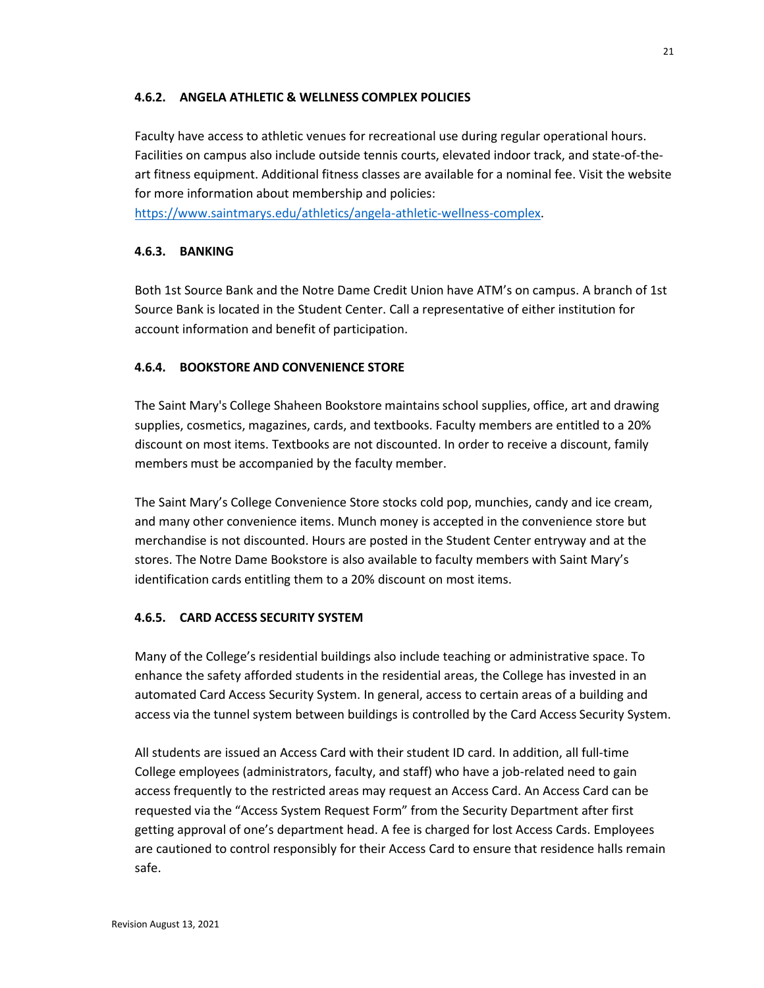### **4.6.2. ANGELA ATHLETIC & WELLNESS COMPLEX POLICIES**

Faculty have access to athletic venues for recreational use during regular operational hours. Facilities on campus also include outside tennis courts, elevated indoor track, and state-of-theart fitness equipment. Additional fitness classes are available for a nominal fee. Visit the website for more information about membership and policies:

[https://www.saintmarys.edu/athletics/angela-athletic-wellness-complex.](https://www.saintmarys.edu/athletics/angela-athletic-wellness-complex)

### **4.6.3. BANKING**

Both 1st Source Bank and the Notre Dame Credit Union have ATM's on campus. A branch of 1st Source Bank is located in the Student Center. Call a representative of either institution for account information and benefit of participation.

# **4.6.4. BOOKSTORE AND CONVENIENCE STORE**

The Saint Mary's College Shaheen Bookstore maintains school supplies, office, art and drawing supplies, cosmetics, magazines, cards, and textbooks. Faculty members are entitled to a 20% discount on most items. Textbooks are not discounted. In order to receive a discount, family members must be accompanied by the faculty member.

The Saint Mary's College Convenience Store stocks cold pop, munchies, candy and ice cream, and many other convenience items. Munch money is accepted in the convenience store but merchandise is not discounted. Hours are posted in the Student Center entryway and at the stores. The Notre Dame Bookstore is also available to faculty members with Saint Mary's identification cards entitling them to a 20% discount on most items.

# **4.6.5. CARD ACCESS SECURITY SYSTEM**

Many of the College's residential buildings also include teaching or administrative space. To enhance the safety afforded students in the residential areas, the College has invested in an automated Card Access Security System. In general, access to certain areas of a building and access via the tunnel system between buildings is controlled by the Card Access Security System.

All students are issued an Access Card with their student ID card. In addition, all full-time College employees (administrators, faculty, and staff) who have a job-related need to gain access frequently to the restricted areas may request an Access Card. An Access Card can be requested via the "Access System Request Form" from the Security Department after first getting approval of one's department head. A fee is charged for lost Access Cards. Employees are cautioned to control responsibly for their Access Card to ensure that residence halls remain safe.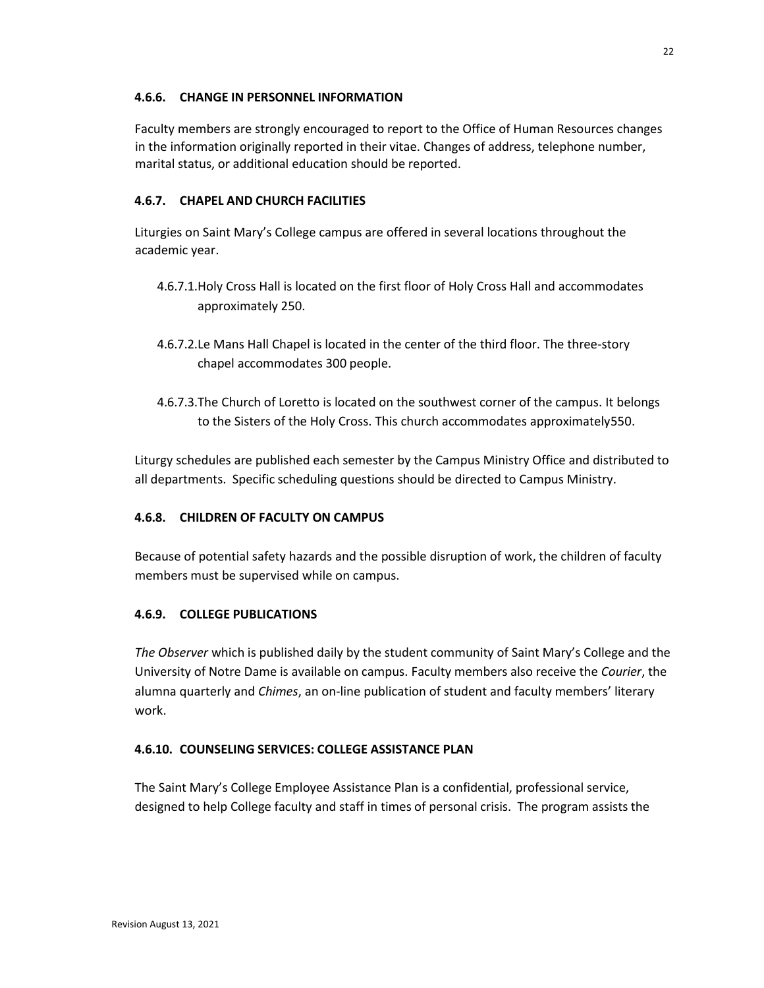### **4.6.6. CHANGE IN PERSONNEL INFORMATION**

Faculty members are strongly encouraged to report to the Office of Human Resources changes in the information originally reported in their vitae. Changes of address, telephone number, marital status, or additional education should be reported.

# **4.6.7. CHAPEL AND CHURCH FACILITIES**

Liturgies on Saint Mary's College campus are offered in several locations throughout the academic year.

- 4.6.7.1.Holy Cross Hall is located on the first floor of Holy Cross Hall and accommodates approximately 250.
- 4.6.7.2.Le Mans Hall Chapel is located in the center of the third floor. The three-story chapel accommodates 300 people.
- 4.6.7.3.The Church of Loretto is located on the southwest corner of the campus. It belongs to the Sisters of the Holy Cross. This church accommodates approximately550.

Liturgy schedules are published each semester by the Campus Ministry Office and distributed to all departments. Specific scheduling questions should be directed to Campus Ministry.

# **4.6.8. CHILDREN OF FACULTY ON CAMPUS**

Because of potential safety hazards and the possible disruption of work, the children of faculty members must be supervised while on campus.

# **4.6.9. COLLEGE PUBLICATIONS**

*The Observer* which is published daily by the student community of Saint Mary's College and the University of Notre Dame is available on campus. Faculty members also receive the *Courier*, the alumna quarterly and *Chimes*, an on-line publication of student and faculty members' literary work.

# **4.6.10. COUNSELING SERVICES: COLLEGE ASSISTANCE PLAN**

The Saint Mary's College Employee Assistance Plan is a confidential, professional service, designed to help College faculty and staff in times of personal crisis. The program assists the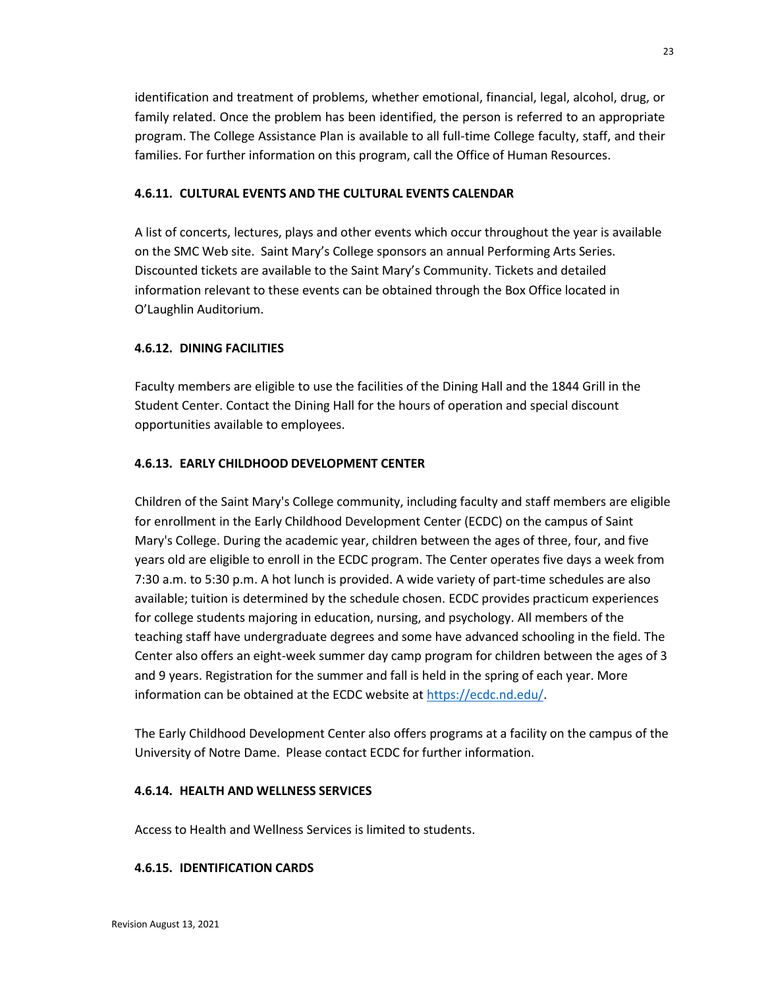identification and treatment of problems, whether emotional, financial, legal, alcohol, drug, or family related. Once the problem has been identified, the person is referred to an appropriate program. The College Assistance Plan is available to all full-time College faculty, staff, and their families. For further information on this program, call the Office of Human Resources.

# **4.6.11. CULTURAL EVENTS AND THE CULTURAL EVENTS CALENDAR**

A list of concerts, lectures, plays and other events which occur throughout the year is available on the SMC Web site. Saint Mary's College sponsors an annual Performing Arts Series. Discounted tickets are available to the Saint Mary's Community. Tickets and detailed information relevant to these events can be obtained through the Box Office located in O'Laughlin Auditorium.

# **4.6.12. DINING FACILITIES**

Faculty members are eligible to use the facilities of the Dining Hall and the 1844 Grill in the Student Center. Contact the Dining Hall for the hours of operation and special discount opportunities available to employees.

# **4.6.13. EARLY CHILDHOOD DEVELOPMENT CENTER**

Children of the Saint Mary's College community, including faculty and staff members are eligible for enrollment in the Early Childhood Development Center (ECDC) on the campus of Saint Mary's College. During the academic year, children between the ages of three, four, and five years old are eligible to enroll in the ECDC program. The Center operates five days a week from 7:30 a.m. to 5:30 p.m. A hot lunch is provided. A wide variety of part-time schedules are also available; tuition is determined by the schedule chosen. ECDC provides practicum experiences for college students majoring in education, nursing, and psychology. All members of the teaching staff have undergraduate degrees and some have advanced schooling in the field. The Center also offers an eight-week summer day camp program for children between the ages of 3 and 9 years. Registration for the summer and fall is held in the spring of each year. More information can be obtained at the ECDC website at [https://ecdc.nd.edu/.](https://ecdc.nd.edu/)

The Early Childhood Development Center also offers programs at a facility on the campus of the University of Notre Dame. Please contact ECDC for further information.

# **4.6.14. HEALTH AND WELLNESS SERVICES**

Access to Health and Wellness Services is limited to students.

# **4.6.15. IDENTIFICATION CARDS**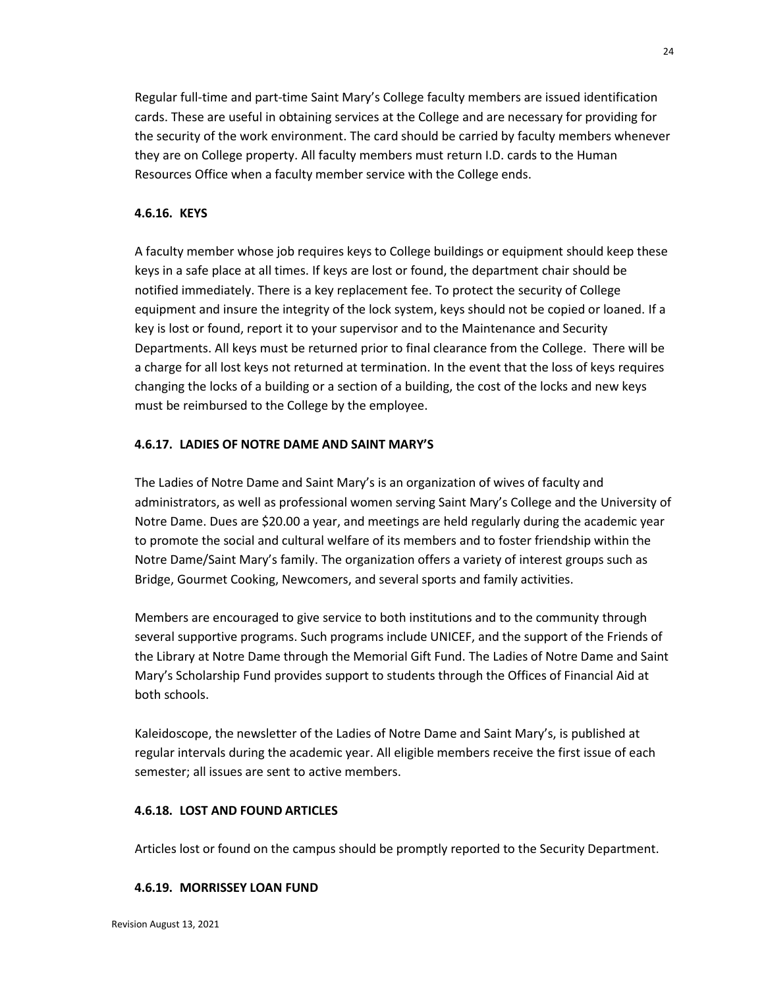Regular full-time and part-time Saint Mary's College faculty members are issued identification cards. These are useful in obtaining services at the College and are necessary for providing for the security of the work environment. The card should be carried by faculty members whenever they are on College property. All faculty members must return I.D. cards to the Human Resources Office when a faculty member service with the College ends.

### **4.6.16. KEYS**

A faculty member whose job requires keys to College buildings or equipment should keep these keys in a safe place at all times. If keys are lost or found, the department chair should be notified immediately. There is a key replacement fee. To protect the security of College equipment and insure the integrity of the lock system, keys should not be copied or loaned. If a key is lost or found, report it to your supervisor and to the Maintenance and Security Departments. All keys must be returned prior to final clearance from the College. There will be a charge for all lost keys not returned at termination. In the event that the loss of keys requires changing the locks of a building or a section of a building, the cost of the locks and new keys must be reimbursed to the College by the employee.

### **4.6.17. LADIES OF NOTRE DAME AND SAINT MARY'S**

The Ladies of Notre Dame and Saint Mary's is an organization of wives of faculty and administrators, as well as professional women serving Saint Mary's College and the University of Notre Dame. Dues are \$20.00 a year, and meetings are held regularly during the academic year to promote the social and cultural welfare of its members and to foster friendship within the Notre Dame/Saint Mary's family. The organization offers a variety of interest groups such as Bridge, Gourmet Cooking, Newcomers, and several sports and family activities.

Members are encouraged to give service to both institutions and to the community through several supportive programs. Such programs include UNICEF, and the support of the Friends of the Library at Notre Dame through the Memorial Gift Fund. The Ladies of Notre Dame and Saint Mary's Scholarship Fund provides support to students through the Offices of Financial Aid at both schools.

Kaleidoscope, the newsletter of the Ladies of Notre Dame and Saint Mary's, is published at regular intervals during the academic year. All eligible members receive the first issue of each semester; all issues are sent to active members.

### **4.6.18. LOST AND FOUND ARTICLES**

Articles lost or found on the campus should be promptly reported to the Security Department.

### **4.6.19. MORRISSEY LOAN FUND**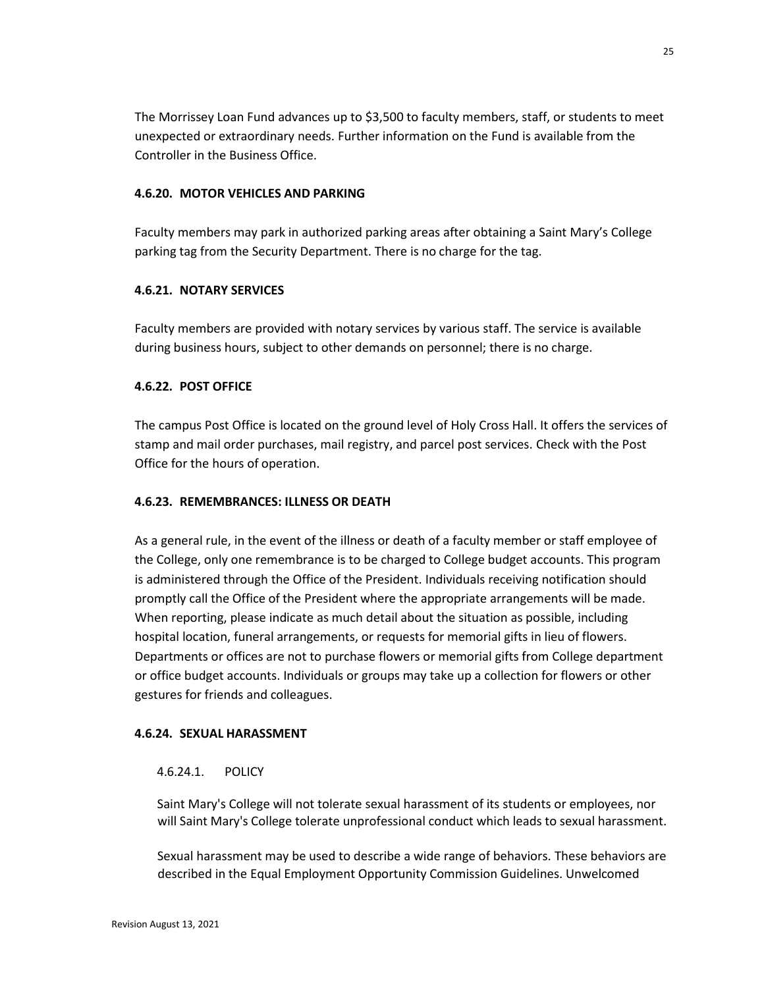The Morrissey Loan Fund advances up to \$3,500 to faculty members, staff, or students to meet unexpected or extraordinary needs. Further information on the Fund is available from the Controller in the Business Office.

### **4.6.20. MOTOR VEHICLES AND PARKING**

Faculty members may park in authorized parking areas after obtaining a Saint Mary's College parking tag from the Security Department. There is no charge for the tag.

### **4.6.21. NOTARY SERVICES**

Faculty members are provided with notary services by various staff. The service is available during business hours, subject to other demands on personnel; there is no charge.

# **4.6.22. POST OFFICE**

The campus Post Office is located on the ground level of Holy Cross Hall. It offers the services of stamp and mail order purchases, mail registry, and parcel post services. Check with the Post Office for the hours of operation.

# **4.6.23. REMEMBRANCES: ILLNESS OR DEATH**

As a general rule, in the event of the illness or death of a faculty member or staff employee of the College, only one remembrance is to be charged to College budget accounts. This program is administered through the Office of the President. Individuals receiving notification should promptly call the Office of the President where the appropriate arrangements will be made. When reporting, please indicate as much detail about the situation as possible, including hospital location, funeral arrangements, or requests for memorial gifts in lieu of flowers. Departments or offices are not to purchase flowers or memorial gifts from College department or office budget accounts. Individuals or groups may take up a collection for flowers or other gestures for friends and colleagues.

### **4.6.24. SEXUAL HARASSMENT**

# 4.6.24.1. POLICY

Saint Mary's College will not tolerate sexual harassment of its students or employees, nor will Saint Mary's College tolerate unprofessional conduct which leads to sexual harassment.

Sexual harassment may be used to describe a wide range of behaviors. These behaviors are described in the Equal Employment Opportunity Commission Guidelines. Unwelcomed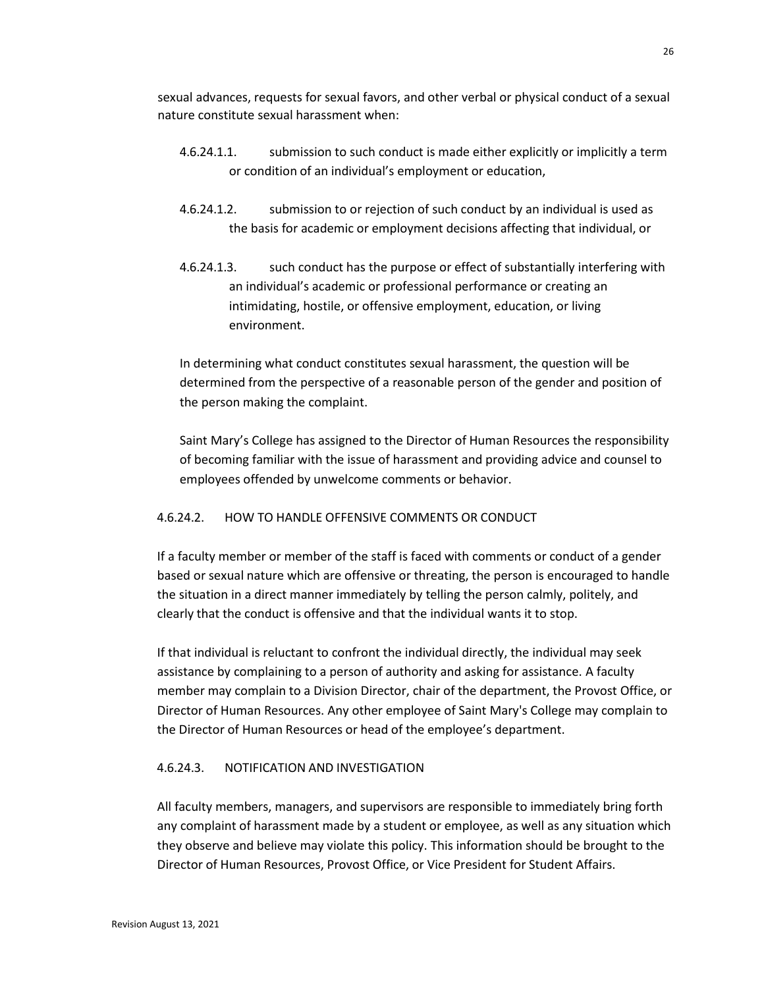sexual advances, requests for sexual favors, and other verbal or physical conduct of a sexual nature constitute sexual harassment when:

- 4.6.24.1.1. submission to such conduct is made either explicitly or implicitly a term or condition of an individual's employment or education,
- 4.6.24.1.2. submission to or rejection of such conduct by an individual is used as the basis for academic or employment decisions affecting that individual, or
- 4.6.24.1.3. such conduct has the purpose or effect of substantially interfering with an individual's academic or professional performance or creating an intimidating, hostile, or offensive employment, education, or living environment.

In determining what conduct constitutes sexual harassment, the question will be determined from the perspective of a reasonable person of the gender and position of the person making the complaint.

Saint Mary's College has assigned to the Director of Human Resources the responsibility of becoming familiar with the issue of harassment and providing advice and counsel to employees offended by unwelcome comments or behavior.

# 4.6.24.2. HOW TO HANDLE OFFENSIVE COMMENTS OR CONDUCT

If a faculty member or member of the staff is faced with comments or conduct of a gender based or sexual nature which are offensive or threating, the person is encouraged to handle the situation in a direct manner immediately by telling the person calmly, politely, and clearly that the conduct is offensive and that the individual wants it to stop.

If that individual is reluctant to confront the individual directly, the individual may seek assistance by complaining to a person of authority and asking for assistance. A faculty member may complain to a Division Director, chair of the department, the Provost Office, or Director of Human Resources. Any other employee of Saint Mary's College may complain to the Director of Human Resources or head of the employee's department.

# 4.6.24.3. NOTIFICATION AND INVESTIGATION

All faculty members, managers, and supervisors are responsible to immediately bring forth any complaint of harassment made by a student or employee, as well as any situation which they observe and believe may violate this policy. This information should be brought to the Director of Human Resources, Provost Office, or Vice President for Student Affairs.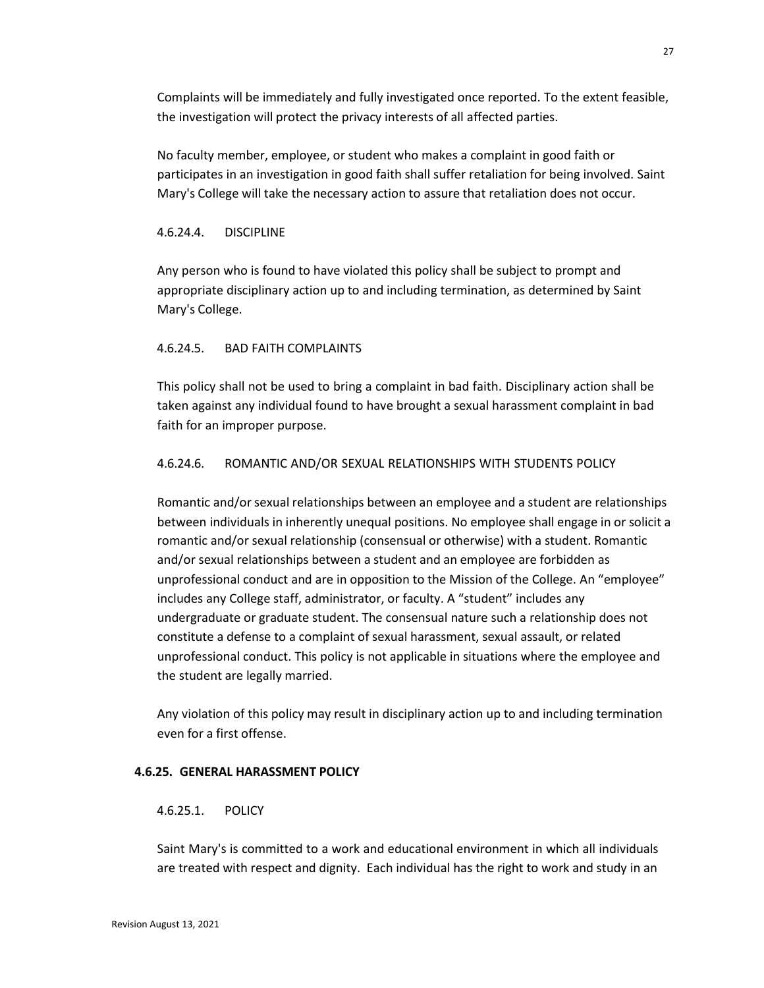Complaints will be immediately and fully investigated once reported. To the extent feasible, the investigation will protect the privacy interests of all affected parties.

No faculty member, employee, or student who makes a complaint in good faith or participates in an investigation in good faith shall suffer retaliation for being involved. Saint Mary's College will take the necessary action to assure that retaliation does not occur.

### 4.6.24.4. DISCIPLINE

Any person who is found to have violated this policy shall be subject to prompt and appropriate disciplinary action up to and including termination, as determined by Saint Mary's College.

# 4.6.24.5. BAD FAITH COMPLAINTS

This policy shall not be used to bring a complaint in bad faith. Disciplinary action shall be taken against any individual found to have brought a sexual harassment complaint in bad faith for an improper purpose.

# 4.6.24.6. ROMANTIC AND/OR SEXUAL RELATIONSHIPS WITH STUDENTS POLICY

Romantic and/or sexual relationships between an employee and a student are relationships between individuals in inherently unequal positions. No employee shall engage in or solicit a romantic and/or sexual relationship (consensual or otherwise) with a student. Romantic and/or sexual relationships between a student and an employee are forbidden as unprofessional conduct and are in opposition to the Mission of the College. An "employee" includes any College staff, administrator, or faculty. A "student" includes any undergraduate or graduate student. The consensual nature such a relationship does not constitute a defense to a complaint of sexual harassment, sexual assault, or related unprofessional conduct. This policy is not applicable in situations where the employee and the student are legally married.

Any violation of this policy may result in disciplinary action up to and including termination even for a first offense.

### **4.6.25. GENERAL HARASSMENT POLICY**

### 4.6.25.1. POLICY

Saint Mary's is committed to a work and educational environment in which all individuals are treated with respect and dignity. Each individual has the right to work and study in an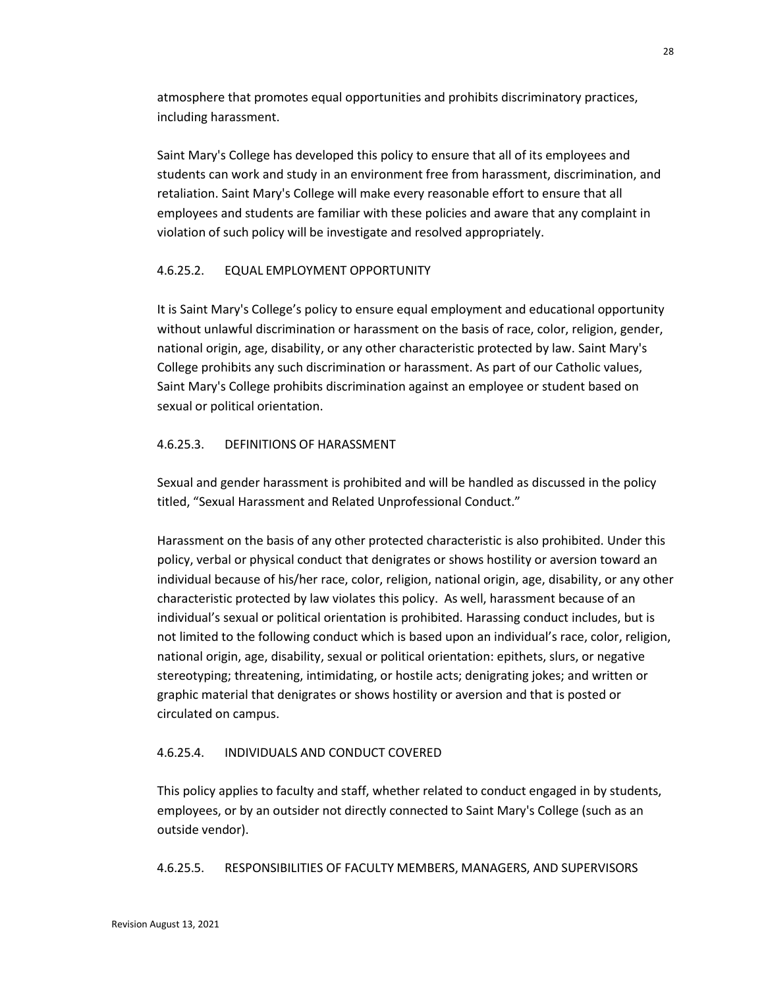atmosphere that promotes equal opportunities and prohibits discriminatory practices, including harassment.

Saint Mary's College has developed this policy to ensure that all of its employees and students can work and study in an environment free from harassment, discrimination, and retaliation. Saint Mary's College will make every reasonable effort to ensure that all employees and students are familiar with these policies and aware that any complaint in violation of such policy will be investigate and resolved appropriately.

# 4.6.25.2. EQUAL EMPLOYMENT OPPORTUNITY

It is Saint Mary's College's policy to ensure equal employment and educational opportunity without unlawful discrimination or harassment on the basis of race, color, religion, gender, national origin, age, disability, or any other characteristic protected by law. Saint Mary's College prohibits any such discrimination or harassment. As part of our Catholic values, Saint Mary's College prohibits discrimination against an employee or student based on sexual or political orientation.

# 4.6.25.3. DEFINITIONS OF HARASSMENT

Sexual and gender harassment is prohibited and will be handled as discussed in the policy titled, "Sexual Harassment and Related Unprofessional Conduct."

Harassment on the basis of any other protected characteristic is also prohibited. Under this policy, verbal or physical conduct that denigrates or shows hostility or aversion toward an individual because of his/her race, color, religion, national origin, age, disability, or any other characteristic protected by law violates this policy. As well, harassment because of an individual's sexual or political orientation is prohibited. Harassing conduct includes, but is not limited to the following conduct which is based upon an individual's race, color, religion, national origin, age, disability, sexual or political orientation: epithets, slurs, or negative stereotyping; threatening, intimidating, or hostile acts; denigrating jokes; and written or graphic material that denigrates or shows hostility or aversion and that is posted or circulated on campus.

# 4.6.25.4. INDIVIDUALS AND CONDUCT COVERED

This policy applies to faculty and staff, whether related to conduct engaged in by students, employees, or by an outsider not directly connected to Saint Mary's College (such as an outside vendor).

4.6.25.5. RESPONSIBILITIES OF FACULTY MEMBERS, MANAGERS, AND SUPERVISORS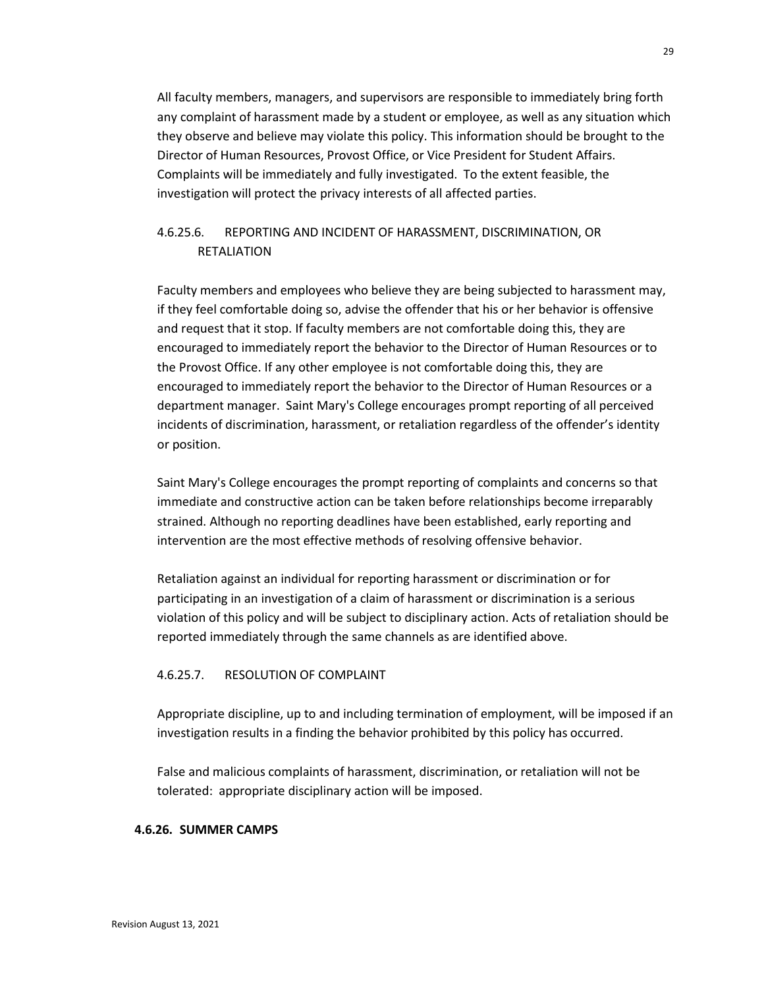All faculty members, managers, and supervisors are responsible to immediately bring forth any complaint of harassment made by a student or employee, as well as any situation which they observe and believe may violate this policy. This information should be brought to the Director of Human Resources, Provost Office, or Vice President for Student Affairs. Complaints will be immediately and fully investigated. To the extent feasible, the investigation will protect the privacy interests of all affected parties.

# 4.6.25.6. REPORTING AND INCIDENT OF HARASSMENT, DISCRIMINATION, OR RETALIATION

Faculty members and employees who believe they are being subjected to harassment may, if they feel comfortable doing so, advise the offender that his or her behavior is offensive and request that it stop. If faculty members are not comfortable doing this, they are encouraged to immediately report the behavior to the Director of Human Resources or to the Provost Office. If any other employee is not comfortable doing this, they are encouraged to immediately report the behavior to the Director of Human Resources or a department manager. Saint Mary's College encourages prompt reporting of all perceived incidents of discrimination, harassment, or retaliation regardless of the offender's identity or position.

Saint Mary's College encourages the prompt reporting of complaints and concerns so that immediate and constructive action can be taken before relationships become irreparably strained. Although no reporting deadlines have been established, early reporting and intervention are the most effective methods of resolving offensive behavior.

Retaliation against an individual for reporting harassment or discrimination or for participating in an investigation of a claim of harassment or discrimination is a serious violation of this policy and will be subject to disciplinary action. Acts of retaliation should be reported immediately through the same channels as are identified above.

### 4.6.25.7. RESOLUTION OF COMPLAINT

Appropriate discipline, up to and including termination of employment, will be imposed if an investigation results in a finding the behavior prohibited by this policy has occurred.

False and malicious complaints of harassment, discrimination, or retaliation will not be tolerated: appropriate disciplinary action will be imposed.

### **4.6.26. SUMMER CAMPS**